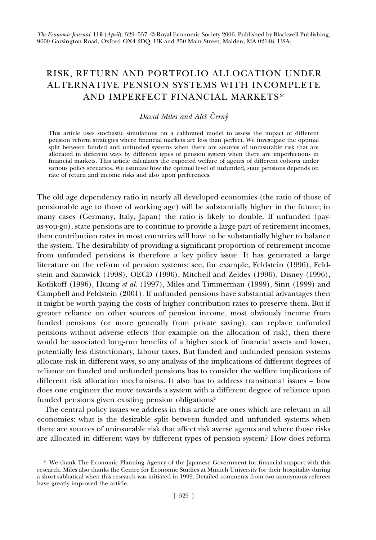# RISK, RETURN AND PORTFOLIO ALLOCATION UNDER ALTERNATIVE PENSION SYSTEMS WITH INCOMPLETE AND IMPERFECT FINANCIAL MARKETS\*

# David Miles and Aleš Černý

This article uses stochastic simulations on a calibrated model to assess the impact of different pension reform strategies where financial markets are less than perfect. We investigate the optimal split between funded and unfunded systems when there are sources of uninsurable risk that are allocated in different ways by different types of pension system when there are imperfections in financial markets. This article calculates the expected welfare of agents of different cohorts under various policy scenarios. We estimate how the optimal level of unfunded, state pensions depends on rate of return and income risks and also upon preferences.

The old age dependency ratio in nearly all developed economies (the ratio of those of pensionable age to those of working age) will be substantially higher in the future; in many cases (Germany, Italy, Japan) the ratio is likely to double. If unfunded (payas-you-go), state pensions are to continue to provide a large part of retirement incomes, then contribution rates in most countries will have to be substantially higher to balance the system. The desirability of providing a significant proportion of retirement income from unfunded pensions is therefore a key policy issue. It has generated a large literature on the reform of pension systems; see, for example, Feldstein (1996), Feldstein and Samwick (1998), OECD (1996), Mitchell and Zeldes (1996), Disney (1996), Kotlikoff (1996), Huang et al. (1997), Miles and Timmerman (1999), Sinn (1999) and Campbell and Feldstein (2001). If unfunded pensions have substantial advantages then it might be worth paying the costs of higher contribution rates to preserve them. But if greater reliance on other sources of pension income, most obviously income from funded pensions (or more generally from private saving), can replace unfunded pensions without adverse effects (for example on the allocation of risk), then there would be associated long-run benefits of a higher stock of financial assets and lower, potentially less distortionary, labour taxes. But funded and unfunded pension systems allocate risk in different ways, so any analysis of the implications of different degrees of reliance on funded and unfunded pensions has to consider the welfare implications of different risk allocation mechanisms. It also has to address transitional issues – how does one engineer the move towards a system with a different degree of reliance upon funded pensions given existing pension obligations?

The central policy issues we address in this article are ones which are relevant in all economies: what is the desirable split between funded and unfunded systems when there are sources of uninsurable risk that affect risk averse agents and where those risks are allocated in different ways by different types of pension system? How does reform

<sup>\*</sup> We thank The Economic Planning Agency of the Japanese Government for financial support with this research. Miles also thanks the Centre for Economic Studies at Munich University for their hospitality during a short sabbatical when this research was initiated in 1999. Detailed comments from two anonymous referees have greatly improved the article.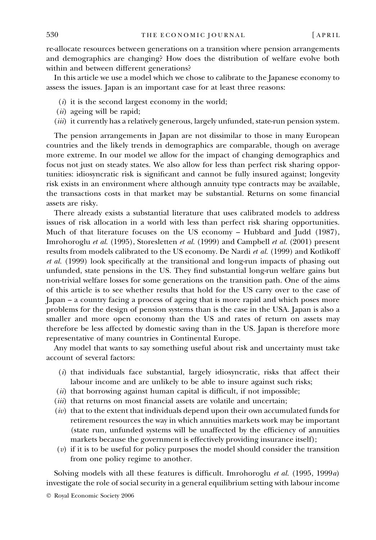re-allocate resources between generations on a transition where pension arrangements and demographics are changing? How does the distribution of welfare evolve both within and between different generations?

In this article we use a model which we chose to calibrate to the Japanese economy to assess the issues. Japan is an important case for at least three reasons:

- $(i)$  it is the second largest economy in the world;
- $(ii)$  ageing will be rapid;
- (*iii*) it currently has a relatively generous, largely unfunded, state-run pension system.

The pension arrangements in Japan are not dissimilar to those in many European countries and the likely trends in demographics are comparable, though on average more extreme. In our model we allow for the impact of changing demographics and focus not just on steady states. We also allow for less than perfect risk sharing opportunities: idiosyncratic risk is significant and cannot be fully insured against; longevity risk exists in an environment where although annuity type contracts may be available, the transactions costs in that market may be substantial. Returns on some financial assets are risky.

There already exists a substantial literature that uses calibrated models to address issues of risk allocation in a world with less than perfect risk sharing opportunities. Much of that literature focuses on the US economy – Hubbard and Judd (1987), Imrohoroglu et al. (1995), Storesletten et al. (1999) and Campbell et al. (2001) present results from models calibrated to the US economy. De Nardi et al. (1999) and Kotlikoff et al. (1999) look specifically at the transitional and long-run impacts of phasing out unfunded, state pensions in the US. They find substantial long-run welfare gains but non-trivial welfare losses for some generations on the transition path. One of the aims of this article is to see whether results that hold for the US carry over to the case of Japan – a country facing a process of ageing that is more rapid and which poses more problems for the design of pension systems than is the case in the USA. Japan is also a smaller and more open economy than the US and rates of return on assets may therefore be less affected by domestic saving than in the US. Japan is therefore more representative of many countries in Continental Europe.

Any model that wants to say something useful about risk and uncertainty must take account of several factors:

- $(i)$  that individuals face substantial, largely idiosyncratic, risks that affect their labour income and are unlikely to be able to insure against such risks;
- $(ii)$  that borrowing against human capital is difficult, if not impossible;
- (*iii*) that returns on most financial assets are volatile and uncertain;
- $(iv)$  that to the extent that individuals depend upon their own accumulated funds for retirement resources the way in which annuities markets work may be important (state run, unfunded systems will be unaffected by the efficiency of annuities markets because the government is effectively providing insurance itself);
- (v) if it is to be useful for policy purposes the model should consider the transition from one policy regime to another.

Solving models with all these features is difficult. Imrohoroglu et al. (1995, 1999a) investigate the role of social security in a general equilibrium setting with labour income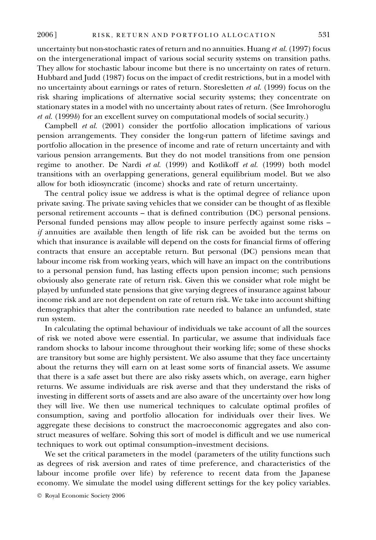uncertainty but non-stochastic rates of return and no annuities. Huang et al. (1997) focus on the intergenerational impact of various social security systems on transition paths. They allow for stochastic labour income but there is no uncertainty on rates of return. Hubbard and Judd (1987) focus on the impact of credit restrictions, but in a model with no uncertainty about earnings or rates of return. Storesletten et al. (1999) focus on the risk sharing implications of alternative social security systems; they concentrate on stationary states in a model with no uncertainty about rates of return. (See Imrohoroglu et al. (1999b) for an excellent survey on computational models of social security.)

Campbell et al. (2001) consider the portfolio allocation implications of various pension arrangements. They consider the long-run pattern of lifetime savings and portfolio allocation in the presence of income and rate of return uncertainty and with various pension arrangements. But they do not model transitions from one pension regime to another. De Nardi et al. (1999) and Kotlikoff et al. (1999) both model transitions with an overlapping generations, general equilibrium model. But we also allow for both idiosyncratic (income) shocks and rate of return uncertainty.

The central policy issue we address is what is the optimal degree of reliance upon private saving. The private saving vehicles that we consider can be thought of as flexible personal retirement accounts – that is defined contribution (DC) personal pensions. Personal funded pensions may allow people to insure perfectly against some risks –  $if$  annuities are available then length of life risk can be avoided but the terms on which that insurance is available will depend on the costs for financial firms of offering contracts that ensure an acceptable return. But personal (DC) pensions mean that labour income risk from working years, which will have an impact on the contributions to a personal pension fund, has lasting effects upon pension income; such pensions obviously also generate rate of return risk. Given this we consider what role might be played by unfunded state pensions that give varying degrees of insurance against labour income risk and are not dependent on rate of return risk. We take into account shifting demographics that alter the contribution rate needed to balance an unfunded, state run system.

In calculating the optimal behaviour of individuals we take account of all the sources of risk we noted above were essential. In particular, we assume that individuals face random shocks to labour income throughout their working life; some of these shocks are transitory but some are highly persistent. We also assume that they face uncertainty about the returns they will earn on at least some sorts of financial assets. We assume that there is a safe asset but there are also risky assets which, on average, earn higher returns. We assume individuals are risk averse and that they understand the risks of investing in different sorts of assets and are also aware of the uncertainty over how long they will live. We then use numerical techniques to calculate optimal profiles of consumption, saving and portfolio allocation for individuals over their lives. We aggregate these decisions to construct the macroeconomic aggregates and also construct measures of welfare. Solving this sort of model is difficult and we use numerical techniques to work out optimal consumption–investment decisions.

We set the critical parameters in the model (parameters of the utility functions such as degrees of risk aversion and rates of time preference, and characteristics of the labour income profile over life) by reference to recent data from the Japanese economy. We simulate the model using different settings for the key policy variables.

Royal Economic Society 2006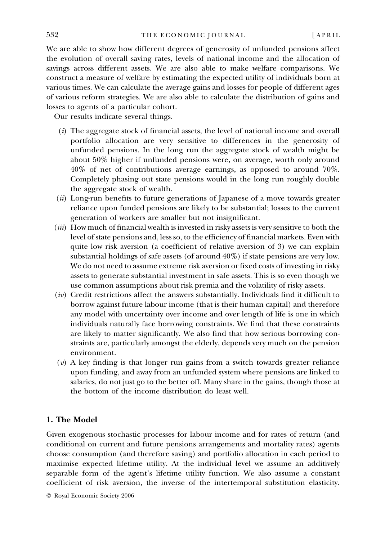We are able to show how different degrees of generosity of unfunded pensions affect the evolution of overall saving rates, levels of national income and the allocation of savings across different assets. We are also able to make welfare comparisons. We construct a measure of welfare by estimating the expected utility of individuals born at various times. We can calculate the average gains and losses for people of different ages of various reform strategies. We are also able to calculate the distribution of gains and losses to agents of a particular cohort.

Our results indicate several things.

- (i) The aggregate stock of financial assets, the level of national income and overall portfolio allocation are very sensitive to differences in the generosity of unfunded pensions. In the long run the aggregate stock of wealth might be about 50% higher if unfunded pensions were, on average, worth only around 40% of net of contributions average earnings, as opposed to around 70%. Completely phasing out state pensions would in the long run roughly double the aggregate stock of wealth.
- (*ii*) Long-run benefits to future generations of Japanese of a move towards greater reliance upon funded pensions are likely to be substantial; losses to the current generation of workers are smaller but not insignificant.
- (iii) How much of financial wealth is invested in risky assets is very sensitive to both the level of state pensions and, less so, to the efficiency of financial markets. Even with quite low risk aversion (a coefficient of relative aversion of 3) we can explain substantial holdings of safe assets (of around 40%) if state pensions are very low. We do not need to assume extreme risk aversion or fixed costs of investing in risky assets to generate substantial investment in safe assets. This is so even though we use common assumptions about risk premia and the volatility of risky assets.
- (iv) Credit restrictions affect the answers substantially. Individuals find it difficult to borrow against future labour income (that is their human capital) and therefore any model with uncertainty over income and over length of life is one in which individuals naturally face borrowing constraints. We find that these constraints are likely to matter significantly. We also find that how serious borrowing constraints are, particularly amongst the elderly, depends very much on the pension environment.
- $(v)$  A key finding is that longer run gains from a switch towards greater reliance upon funding, and away from an unfunded system where pensions are linked to salaries, do not just go to the better off. Many share in the gains, though those at the bottom of the income distribution do least well.

# 1. The Model

Given exogenous stochastic processes for labour income and for rates of return (and conditional on current and future pensions arrangements and mortality rates) agents choose consumption (and therefore saving) and portfolio allocation in each period to maximise expected lifetime utility. At the individual level we assume an additively separable form of the agent's lifetime utility function. We also assume a constant coefficient of risk aversion, the inverse of the intertemporal substitution elasticity.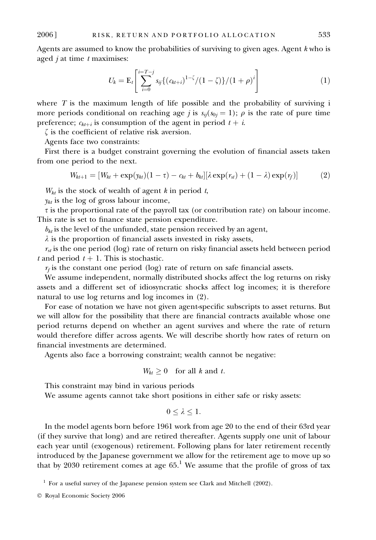Agents are assumed to know the probabilities of surviving to given ages. Agent  $k$  who is aged  $j$  at time  $t$  maximises:

$$
U_k = \mathcal{E}_t \left[ \sum_{i=0}^{i=T-j} s_{ij} \{ (c_{kt+i})^{1-\zeta} / (1-\zeta) \} / (1+\rho)^i \right] \tag{1}
$$

where  $T$  is the maximum length of life possible and the probability of surviving i more periods conditional on reaching age *j* is  $s_{ij}(s_{0j} = 1)$ ;  $\rho$  is the rate of pure time preference;  $c_{kt+i}$  is consumption of the agent in period  $t + i$ .

 $\zeta$  is the coefficient of relative risk aversion.

Agents face two constraints:

First there is a budget constraint governing the evolution of financial assets taken from one period to the next.

$$
W_{kt+1} = [W_{kt} + \exp(y_{kt})(1 - \tau) - c_{kt} + b_{kt}][\lambda \exp(r_{st}) + (1 - \lambda) \exp(r_f)] \tag{2}
$$

 $W_{kt}$  is the stock of wealth of agent k in period t,

 $y_{kt}$  is the log of gross labour income,

 $\tau$  is the proportional rate of the payroll tax (or contribution rate) on labour income. This rate is set to finance state pension expenditure.

 $b_{kt}$  is the level of the unfunded, state pension received by an agent,

 $\lambda$  is the proportion of financial assets invested in risky assets,

 $r_{st}$  is the one period (log) rate of return on risky financial assets held between period t and period  $t + 1$ . This is stochastic.

 $r_f$  is the constant one period (log) rate of return on safe financial assets.

We assume independent, normally distributed shocks affect the log returns on risky assets and a different set of idiosyncratic shocks affect log incomes; it is therefore natural to use log returns and log incomes in (2).

For ease of notation we have not given agent-specific subscripts to asset returns. But we will allow for the possibility that there are financial contracts available whose one period returns depend on whether an agent survives and where the rate of return would therefore differ across agents. We will describe shortly how rates of return on financial investments are determined.

Agents also face a borrowing constraint; wealth cannot be negative:

$$
W_{kt} \ge 0 \quad \text{for all } k \text{ and } t.
$$

This constraint may bind in various periods

We assume agents cannot take short positions in either safe or risky assets:

$$
0\leq \lambda \leq 1.
$$

In the model agents born before 1961 work from age 20 to the end of their 63rd year (if they survive that long) and are retired thereafter. Agents supply one unit of labour each year until (exogenous) retirement. Following plans for later retirement recently introduced by the Japanese government we allow for the retirement age to move up so that by 2030 retirement comes at age  $65<sup>1</sup>$  We assume that the profile of gross of tax

 $1$  For a useful survey of the Japanese pension system see Clark and Mitchell (2002).

Royal Economic Society 2006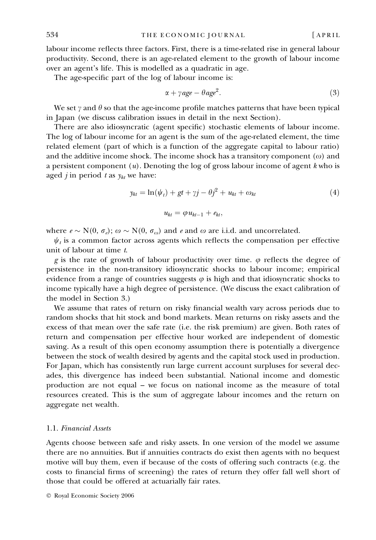labour income reflects three factors. First, there is a time-related rise in general labour productivity. Second, there is an age-related element to the growth of labour income over an agent's life. This is modelled as a quadratic in age.

The age-specific part of the log of labour income is:

$$
\alpha + \gamma \, age - \theta \, age^2. \tag{3}
$$

We set  $\gamma$  and  $\theta$  so that the age-income profile matches patterns that have been typical in Japan (we discuss calibration issues in detail in the next Section).

There are also idiosyncratic (agent specific) stochastic elements of labour income. The log of labour income for an agent is the sum of the age-related element, the time related element (part of which is a function of the aggregate capital to labour ratio) and the additive income shock. The income shock has a transitory component  $(\omega)$  and a persistent component  $(u)$ . Denoting the log of gross labour income of agent  $k$  who is aged *j* in period *t* as  $y_{kt}$  we have:

$$
y_{kt} = \ln(\psi_t) + gt + \gamma j - \theta j^2 + u_{kt} + \omega_{kt}
$$
  

$$
u_{kt} = \varphi u_{kt-1} + e_{kt},
$$
  
(4)

where  $e \sim N(0, \sigma_e)$ ;  $\omega \sim N(0, \sigma_\omega)$  and e and  $\omega$  are i.i.d. and uncorrelated.

 $\psi_t$  is a common factor across agents which reflects the compensation per effective unit of labour at time t.

g is the rate of growth of labour productivity over time.  $\varphi$  reflects the degree of persistence in the non-transitory idiosyncratic shocks to labour income; empirical evidence from a range of countries suggests  $\varphi$  is high and that idiosyncratic shocks to income typically have a high degree of persistence. (We discuss the exact calibration of the model in Section 3.)

We assume that rates of return on risky financial wealth vary across periods due to random shocks that hit stock and bond markets. Mean returns on risky assets and the excess of that mean over the safe rate (i.e. the risk premium) are given. Both rates of return and compensation per effective hour worked are independent of domestic saving. As a result of this open economy assumption there is potentially a divergence between the stock of wealth desired by agents and the capital stock used in production. For Japan, which has consistently run large current account surpluses for several decades, this divergence has indeed been substantial. National income and domestic production are not equal – we focus on national income as the measure of total resources created. This is the sum of aggregate labour incomes and the return on aggregate net wealth.

#### 1.1. Financial Assets

Agents choose between safe and risky assets. In one version of the model we assume there are no annuities. But if annuities contracts do exist then agents with no bequest motive will buy them, even if because of the costs of offering such contracts (e.g. the costs to financial firms of screening) the rates of return they offer fall well short of those that could be offered at actuarially fair rates.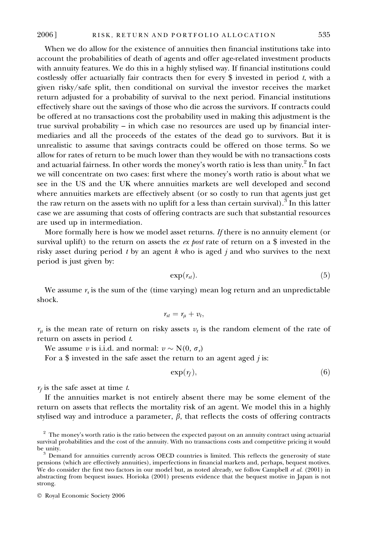#### 2006 RISK, RETURN AND PORTFOLIO ALLOCATION 535

When we do allow for the existence of annuities then financial institutions take into account the probabilities of death of agents and offer age-related investment products with annuity features. We do this in a highly stylised way. If financial institutions could costlessly offer actuarially fair contracts then for every  $\frac{1}{2}$  invested in period t, with a given risky/safe split, then conditional on survival the investor receives the market return adjusted for a probability of survival to the next period. Financial institutions effectively share out the savings of those who die across the survivors. If contracts could be offered at no transactions cost the probability used in making this adjustment is the true survival probability – in which case no resources are used up by financial intermediaries and all the proceeds of the estates of the dead go to survivors. But it is unrealistic to assume that savings contracts could be offered on those terms. So we allow for rates of return to be much lower than they would be with no transactions costs and actuarial fairness. In other words the money's worth ratio is less than unity. $^{2}$  In fact we will concentrate on two cases: first where the money's worth ratio is about what we see in the US and the UK where annuities markets are well developed and second where annuities markets are effectively absent (or so costly to run that agents just get the raw return on the assets with no uplift for a less than certain survival).<sup>3</sup> In this latter case we are assuming that costs of offering contracts are such that substantial resources are used up in intermediation.

More formally here is how we model asset returns. If there is no annuity element (or survival uplift) to the return on assets the *ex post* rate of return on a  $\frac{1}{2}$  invested in the risky asset during period  $t$  by an agent  $k$  who is aged  $j$  and who survives to the next period is just given by:

$$
\exp(r_{st}).\tag{5}
$$

We assume  $r<sub>s</sub>$  is the sum of the (time varying) mean log return and an unpredictable shock.

$$
r_{st}=r_{\mu}+v_t,
$$

 $r_{\mu}$  is the mean rate of return on risky assets  $v_t$  is the random element of the rate of return on assets in period t.

We assume v is i.i.d. and normal:  $v \sim N(0, \sigma_r)$ 

For a  $\frac{1}{2}$  invested in the safe asset the return to an agent aged *j* is:

$$
\exp(r_f),\tag{6}
$$

 $r_f$  is the safe asset at time t.

If the annuities market is not entirely absent there may be some element of the return on assets that reflects the mortality risk of an agent. We model this in a highly stylised way and introduce a parameter,  $\beta$ , that reflects the costs of offering contracts

<sup>&</sup>lt;sup>2</sup> The money's worth ratio is the ratio between the expected payout on an annuity contract using actuarial survival probabilities and the cost of the annuity. With no transactions costs and competitive pricing it would

 $3$  Demand for annuities currently across OECD countries is limited. This reflects the generosity of state pensions (which are effectively annuities), imperfections in financial markets and, perhaps, bequest motives. We do consider the first two factors in our model but, as noted already, we follow Campbell et al. (2001) in abstracting from bequest issues. Horioka (2001) presents evidence that the bequest motive in Japan is not strong.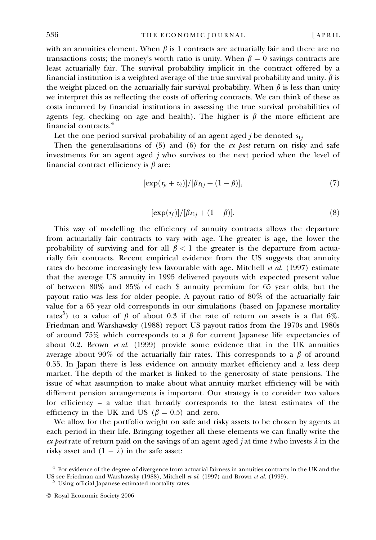with an annuities element. When  $\beta$  is 1 contracts are actuarially fair and there are no transactions costs; the money's worth ratio is unity. When  $\beta = 0$  savings contracts are least actuarially fair. The survival probability implicit in the contract offered by a financial institution is a weighted average of the true survival probability and unity.  $\beta$  is the weight placed on the actuarially fair survival probability. When  $\beta$  is less than unity we interpret this as reflecting the costs of offering contracts. We can think of these as costs incurred by financial institutions in assessing the true survival probabilities of agents (eg. checking on age and health). The higher is  $\beta$  the more efficient are financial contracts.<sup>4</sup>

Let the one period survival probability of an agent aged *j* be denoted  $s_{1i}$ 

Then the generalisations of  $(5)$  and  $(6)$  for the *ex post* return on risky and safe investments for an agent aged  $j$  who survives to the next period when the level of financial contract efficiency is  $\beta$  are:

$$
[\exp(r_{\mu} + v_t)]/[\beta s_{1j} + (1 - \beta)],
$$
 (7)

$$
[\exp(r_f)]/[\beta s_{1j} + (1 - \beta)]. \tag{8}
$$

This way of modelling the efficiency of annuity contracts allows the departure from actuarially fair contracts to vary with age. The greater is age, the lower the probability of surviving and for all  $\beta < 1$  the greater is the departure from actuarially fair contracts. Recent empirical evidence from the US suggests that annuity rates do become increasingly less favourable with age. Mitchell  $et al.$  (1997) estimate that the average US annuity in 1995 delivered payouts with expected present value of between 80% and 85% of each \$ annuity premium for 65 year olds; but the payout ratio was less for older people. A payout ratio of 80% of the actuarially fair value for a 65 year old corresponds in our simulations (based on Japanese mortality rates<sup>5</sup>) to a value of  $\beta$  of about 0.3 if the rate of return on assets is a flat 6%. Friedman and Warshawsky (1988) report US payout ratios from the 1970s and 1980s of around 75% which corresponds to a  $\beta$  for current Japanese life expectancies of about 0.2. Brown  $et al.$  (1999) provide some evidence that in the UK annuities average about 90% of the actuarially fair rates. This corresponds to a  $\beta$  of around 0.55. In Japan there is less evidence on annuity market efficiency and a less deep market. The depth of the market is linked to the generosity of state pensions. The issue of what assumption to make about what annuity market efficiency will be with different pension arrangements is important. Our strategy is to consider two values for efficiency – a value that broadly corresponds to the latest estimates of the efficiency in the UK and US ( $\beta = 0.5$ ) and zero.

We allow for the portfolio weight on safe and risky assets to be chosen by agents at each period in their life. Bringing together all these elements we can finally write the ex post rate of return paid on the savings of an agent aged j at time t who invests  $\lambda$  in the risky asset and  $(1 - \lambda)$  in the safe asset:

<sup>4</sup> For evidence of the degree of divergence from actuarial fairness in annuities contracts in the UK and the US see Friedman and Warshawsky (1988), Mitchell *et al.* (1997) and Brown *et al.* (1999). <sup>5</sup> Using official Japanese estimated mortality rates.

Royal Economic Society 2006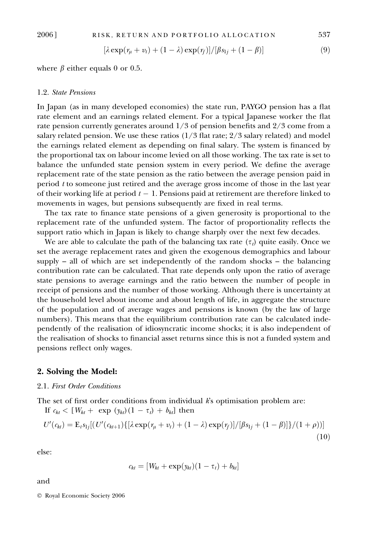$$
[\lambda \exp(r_\mu + v_t) + (1 - \lambda) \exp(r_f)]/[\beta s_{1j} + (1 - \beta)] \tag{9}
$$

where  $\beta$  either equals 0 or 0.5.

#### 1.2. State Pensions

In Japan (as in many developed economies) the state run, PAYGO pension has a flat rate element and an earnings related element. For a typical Japanese worker the flat rate pension currently generates around 1/3 of pension benefits and 2/3 come from a salary related pension. We use these ratios (1/3 flat rate; 2/3 salary related) and model the earnings related element as depending on final salary. The system is financed by the proportional tax on labour income levied on all those working. The tax rate is set to balance the unfunded state pension system in every period. We define the average replacement rate of the state pension as the ratio between the average pension paid in period  $t$  to someone just retired and the average gross income of those in the last year of their working life at period  $t - 1$ . Pensions paid at retirement are therefore linked to movements in wages, but pensions subsequently are fixed in real terms.

The tax rate to finance state pensions of a given generosity is proportional to the replacement rate of the unfunded system. The factor of proportionality reflects the support ratio which in Japan is likely to change sharply over the next few decades.

We are able to calculate the path of the balancing tax rate  $(\tau_i)$  quite easily. Once we set the average replacement rates and given the exogenous demographics and labour supply – all of which are set independently of the random shocks – the balancing contribution rate can be calculated. That rate depends only upon the ratio of average state pensions to average earnings and the ratio between the number of people in receipt of pensions and the number of those working. Although there is uncertainty at the household level about income and about length of life, in aggregate the structure of the population and of average wages and pensions is known (by the law of large numbers). This means that the equilibrium contribution rate can be calculated independently of the realisation of idiosyncratic income shocks; it is also independent of the realisation of shocks to financial asset returns since this is not a funded system and pensions reflect only wages.

## 2. Solving the Model:

#### 2.1. First Order Conditions

The set of first order conditions from individual  $k$ 's optimisation problem are:

If  $c_{kt} < [W_{kt} + \exp(y_{kt})(1 - \tau_t) + b_{kt}]$  then

$$
U'(c_{kt}) = \mathbb{E}_{\ell} s_{1j} [(U'(c_{kt+1})\{[\lambda \exp(r_{\mu} + v_t) + (1 - \lambda) \exp(r_f)] / [\beta s_{1j} + (1 - \beta)]\}/(1 + \rho))]
$$
\n(10)

else:

$$
c_{kt} = [W_{kt} + \exp(y_{kt})(1 - \tau_t) + b_{kt}]
$$

and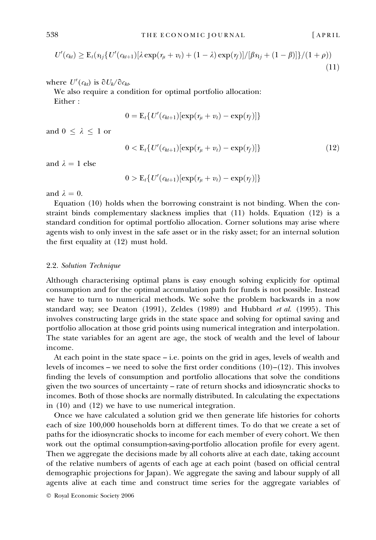$$
U'(c_{kt}) \ge \mathbb{E}_t(s_{1j}\{U'(c_{kt+1})[\lambda \exp(r_\mu + v_t) + (1-\lambda)\exp(r_f)]/[\beta s_{1j} + (1-\beta)]\}/(1+\rho))
$$
\n(11)

where  $U'(c_{kt})$  is  $\partial U_k/\partial c_{kt}$ .

We also require a condition for optimal portfolio allocation: Either :

$$
0 = \mathrm{E}_t\{U'(c_{kt+1})[\exp(r_\mu + v_t) - \exp(r_f)]\}
$$

and  $0 \leq \lambda \leq 1$  or

$$
0 < \mathcal{E}_t\{U'(c_{kt+1})[\exp(r_\mu + v_t) - \exp(r_f)]\} \tag{12}
$$

and  $\lambda = 1$  else

$$
0 > \mathbb{E}_{t} \{ U'(c_{kt+1})[\exp(r_{\mu} + v_t) - \exp(r_f)] \}
$$

and  $\lambda = 0$ .

Equation (10) holds when the borrowing constraint is not binding. When the constraint binds complementary slackness implies that (11) holds. Equation (12) is a standard condition for optimal portfolio allocation. Corner solutions may arise where agents wish to only invest in the safe asset or in the risky asset; for an internal solution the first equality at (12) must hold.

#### 2.2. Solution Technique

Although characterising optimal plans is easy enough solving explicitly for optimal consumption and for the optimal accumulation path for funds is not possible. Instead we have to turn to numerical methods. We solve the problem backwards in a now standard way; see Deaton (1991), Zeldes (1989) and Hubbard et al. (1995). This involves constructing large grids in the state space and solving for optimal saving and portfolio allocation at those grid points using numerical integration and interpolation. The state variables for an agent are age, the stock of wealth and the level of labour income.

At each point in the state space – i.e. points on the grid in ages, levels of wealth and levels of incomes – we need to solve the first order conditions  $(10)$ – $(12)$ . This involves finding the levels of consumption and portfolio allocations that solve the conditions given the two sources of uncertainty – rate of return shocks and idiosyncratic shocks to incomes. Both of those shocks are normally distributed. In calculating the expectations in (10) and (12) we have to use numerical integration.

Once we have calculated a solution grid we then generate life histories for cohorts each of size 100,000 households born at different times. To do that we create a set of paths for the idiosyncratic shocks to income for each member of every cohort. We then work out the optimal consumption-saving-portfolio allocation profile for every agent. Then we aggregate the decisions made by all cohorts alive at each date, taking account of the relative numbers of agents of each age at each point (based on official central demographic projections for Japan). We aggregate the saving and labour supply of all agents alive at each time and construct time series for the aggregate variables of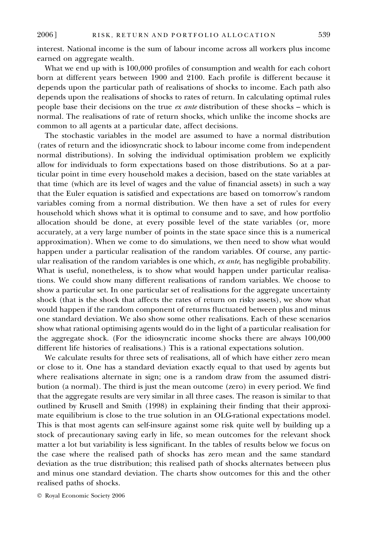interest. National income is the sum of labour income across all workers plus income earned on aggregate wealth.

What we end up with is 100,000 profiles of consumption and wealth for each cohort born at different years between 1900 and 2100. Each profile is different because it depends upon the particular path of realisations of shocks to income. Each path also depends upon the realisations of shocks to rates of return. In calculating optimal rules people base their decisions on the true ex ante distribution of these shocks – which is normal. The realisations of rate of return shocks, which unlike the income shocks are common to all agents at a particular date, affect decisions.

The stochastic variables in the model are assumed to have a normal distribution (rates of return and the idiosyncratic shock to labour income come from independent normal distributions). In solving the individual optimisation problem we explicitly allow for individuals to form expectations based on those distributions. So at a particular point in time every household makes a decision, based on the state variables at that time (which are its level of wages and the value of financial assets) in such a way that the Euler equation is satisfied and expectations are based on tomorrow's random variables coming from a normal distribution. We then have a set of rules for every household which shows what it is optimal to consume and to save, and how portfolio allocation should be done, at every possible level of the state variables (or, more accurately, at a very large number of points in the state space since this is a numerical approximation). When we come to do simulations, we then need to show what would happen under a particular realisation of the random variables. Of course, any particular realisation of the random variables is one which,  $ex$  ante, has negligible probability. What is useful, nonetheless, is to show what would happen under particular realisations. We could show many different realisations of random variables. We choose to show a particular set. In one particular set of realisations for the aggregate uncertainty shock (that is the shock that affects the rates of return on risky assets), we show what would happen if the random component of returns fluctuated between plus and minus one standard deviation. We also show some other realisations. Each of these scenarios show what rational optimising agents would do in the light of a particular realisation for the aggregate shock. (For the idiosyncratic income shocks there are always 100,000 different life histories of realisations.) This is a rational expectations solution.

We calculate results for three sets of realisations, all of which have either zero mean or close to it. One has a standard deviation exactly equal to that used by agents but where realisations alternate in sign; one is a random draw from the assumed distribution (a normal). The third is just the mean outcome (zero) in every period. We find that the aggregate results are very similar in all three cases. The reason is similar to that outlined by Krusell and Smith (1998) in explaining their finding that their approximate equilibrium is close to the true solution in an OLG-rational expectations model. This is that most agents can self-insure against some risk quite well by building up a stock of precautionary saving early in life, so mean outcomes for the relevant shock matter a lot but variability is less significant. In the tables of results below we focus on the case where the realised path of shocks has zero mean and the same standard deviation as the true distribution; this realised path of shocks alternates between plus and minus one standard deviation. The charts show outcomes for this and the other realised paths of shocks.

Royal Economic Society 2006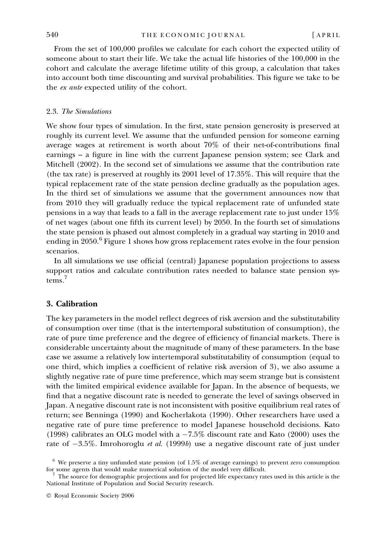From the set of 100,000 profiles we calculate for each cohort the expected utility of someone about to start their life. We take the actual life histories of the 100,000 in the cohort and calculate the average lifetime utility of this group, a calculation that takes into account both time discounting and survival probabilities. This figure we take to be the ex ante expected utility of the cohort.

## 2.3. The Simulations

We show four types of simulation. In the first, state pension generosity is preserved at roughly its current level. We assume that the unfunded pension for someone earning average wages at retirement is worth about 70% of their net-of-contributions final earnings – a figure in line with the current Japanese pension system; see Clark and Mitchell (2002). In the second set of simulations we assume that the contribution rate (the tax rate) is preserved at roughly its 2001 level of 17.35%. This will require that the typical replacement rate of the state pension decline gradually as the population ages. In the third set of simulations we assume that the government announces now that from 2010 they will gradually reduce the typical replacement rate of unfunded state pensions in a way that leads to a fall in the average replacement rate to just under 15% of net wages (about one fifth its current level) by 2050. In the fourth set of simulations the state pension is phased out almost completely in a gradual way starting in 2010 and ending in 2050.<sup>6</sup> Figure 1 shows how gross replacement rates evolve in the four pension scenarios.

In all simulations we use official (central) Japanese population projections to assess support ratios and calculate contribution rates needed to balance state pension systems.<sup>7</sup>

### 3. Calibration

The key parameters in the model reflect degrees of risk aversion and the substitutability of consumption over time (that is the intertemporal substitution of consumption), the rate of pure time preference and the degree of efficiency of financial markets. There is considerable uncertainty about the magnitude of many of these parameters. In the base case we assume a relatively low intertemporal substitutability of consumption (equal to one third, which implies a coefficient of relative risk aversion of 3), we also assume a slightly negative rate of pure time preference, which may seem strange but is consistent with the limited empirical evidence available for Japan. In the absence of bequests, we find that a negative discount rate is needed to generate the level of savings observed in Japan. A negative discount rate is not inconsistent with positive equilibrium real rates of return; see Benninga (1990) and Kocherlakota (1990). Other researchers have used a negative rate of pure time preference to model Japanese household decisions. Kato (1998) calibrates an OLG model with a  $-7.5\%$  discount rate and Kato (2000) uses the rate of  $-3.5\%$ . Imrohoroglu *et al.* (1999*b*) use a negative discount rate of just under

 $6\,$  We preserve a tiny unfunded state pension (of 1.5% of average earnings) to prevent zero consumption for some agents that would make numerical solution of the model very difficult.

 $\frac{7}{7}$  The source for demographic projections and for projected life expectancy rates used in this article is the National Institute of Population and Social Security research.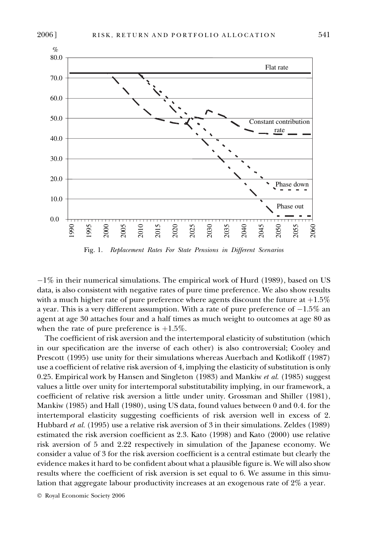

Fig. 1. Replacement Rates For State Pensions in Different Scenarios

 $-1\%$  in their numerical simulations. The empirical work of Hurd (1989), based on US data, is also consistent with negative rates of pure time preference. We also show results with a much higher rate of pure preference where agents discount the future at  $+1.5\%$ a year. This is a very different assumption. With a rate of pure preference of  $-1.5\%$  an agent at age 30 attaches four and a half times as much weight to outcomes at age 80 as when the rate of pure preference is  $+1.5\%$ .

The coefficient of risk aversion and the intertemporal elasticity of substitution (which in our specification are the inverse of each other) is also controversial; Cooley and Prescott (1995) use unity for their simulations whereas Auerbach and Kotlikoff (1987) use a coefficient of relative risk aversion of 4, implying the elasticity of substitution is only 0.25. Empirical work by Hansen and Singleton  $(1983)$  and Mankiw *et al.* (1985) suggest values a little over unity for intertemporal substitutability implying, in our framework, a coefficient of relative risk aversion a little under unity. Grossman and Shiller (1981), Mankiw (1985) and Hall (1980), using US data, found values between 0 and 0.4. for the intertemporal elasticity suggesting coefficients of risk aversion well in excess of 2. Hubbard et al. (1995) use a relative risk aversion of 3 in their simulations. Zeldes (1989) estimated the risk aversion coefficient as 2.3. Kato (1998) and Kato (2000) use relative risk aversion of 5 and 2.22 respectively in simulation of the Japanese economy. We consider a value of 3 for the risk aversion coefficient is a central estimate but clearly the evidence makes it hard to be confident about what a plausible figure is. We will also show results where the coefficient of risk aversion is set equal to 6. We assume in this simulation that aggregate labour productivity increases at an exogenous rate of 2% a year.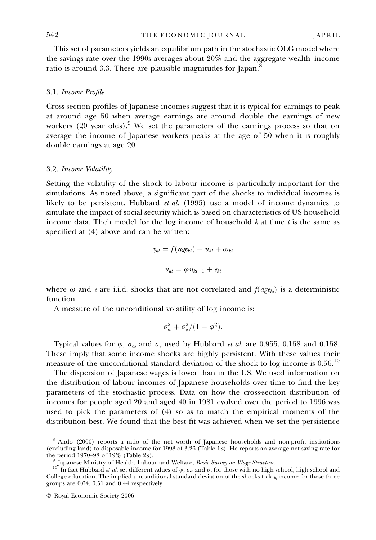This set of parameters yields an equilibrium path in the stochastic OLG model where the savings rate over the 1990s averages about 20% and the aggregate wealth–income ratio is around 3.3. These are plausible magnitudes for Japan.<sup>8</sup>

## 3.1. Income Profile

Cross-section profiles of Japanese incomes suggest that it is typical for earnings to peak at around age 50 when average earnings are around double the earnings of new workers  $(20 \text{ year olds})$ .<sup>9</sup> We set the parameters of the earnings process so that on average the income of Japanese workers peaks at the age of 50 when it is roughly double earnings at age 20.

### 3.2. Income Volatility

Setting the volatility of the shock to labour income is particularly important for the simulations. As noted above, a significant part of the shocks to individual incomes is likely to be persistent. Hubbard *et al.* (1995) use a model of income dynamics to simulate the impact of social security which is based on characteristics of US household income data. Their model for the log income of household  $k$  at time  $t$  is the same as specified at (4) above and can be written:

$$
y_{kt} = f(age_{kt}) + u_{kt} + \omega_{kt}
$$

$$
u_{kt} = \varphi u_{kt-1} + e_{kt}
$$

where  $\omega$  and e are i.i.d. shocks that are not correlated and  $f(age_{kt})$  is a deterministic function.

A measure of the unconditional volatility of log income is:

$$
\sigma_\omega^2 + \sigma_e^2/(1-\varphi^2).
$$

Typical values for  $\varphi$ ,  $\sigma_{\omega}$  and  $\sigma_{e}$  used by Hubbard *et al.* are 0.955, 0.158 and 0.158. These imply that some income shocks are highly persistent. With these values their measure of the unconditional standard deviation of the shock to log income is  $0.56$ .<sup>10</sup>

The dispersion of Japanese wages is lower than in the US. We used information on the distribution of labour incomes of Japanese households over time to find the key parameters of the stochastic process. Data on how the cross-section distribution of incomes for people aged 20 and aged 40 in 1981 evolved over the period to 1996 was used to pick the parameters of (4) so as to match the empirical moments of the distribution best. We found that the best fit was achieved when we set the persistence

<sup>8</sup> Ando (2000) reports a ratio of the net worth of Japanese households and non-profit institutions (excluding land) to disposable income for 1998 of 3.26 (Table 1a). He reports an average net saving rate for the period 1970–98 of 19% (Table 2a).

<sup>&</sup>lt;sup>9</sup> Japanese Ministry of Health, Labour and Welfare, *Basic Survey on Wage Structure*.<br><sup>10</sup> In fact Hubbard *et al.* set different values of  $\varphi$ ,  $\sigma_{\omega}$  and  $\sigma_e$  for those with no high school, high school and College education. The implied unconditional standard deviation of the shocks to log income for these three groups are 0.64, 0.51 and  $0.44$  respectively.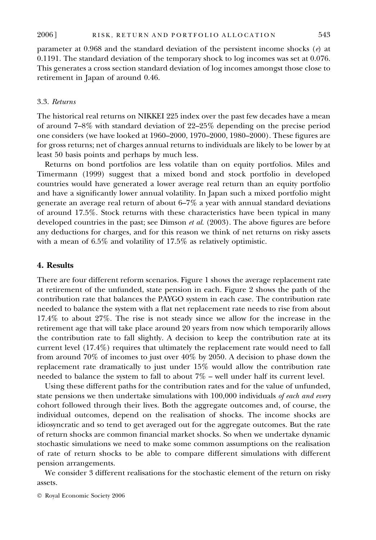2006 RISK, RETURN AND PORTFOLIO ALLOCATION 543

parameter at 0.968 and the standard deviation of the persistent income shocks (e) at 0.1191. The standard deviation of the temporary shock to log incomes was set at 0.076. This generates a cross section standard deviation of log incomes amongst those close to retirement in Japan of around 0.46.

## 3.3. Returns

The historical real returns on NIKKEI 225 index over the past few decades have a mean of around 7–8% with standard deviation of 22–25% depending on the precise period one considers (we have looked at 1960–2000, 1970–2000, 1980–2000). These figures are for gross returns; net of charges annual returns to individuals are likely to be lower by at least 50 basis points and perhaps by much less.

Returns on bond portfolios are less volatile than on equity portfolios. Miles and Timermann (1999) suggest that a mixed bond and stock portfolio in developed countries would have generated a lower average real return than an equity portfolio and have a significantly lower annual volatility. In Japan such a mixed portfolio might generate an average real return of about 6–7% a year with annual standard deviations of around 17.5%. Stock returns with these characteristics have been typical in many developed countries in the past; see Dimson *et al.* (2003). The above figures are before any deductions for charges, and for this reason we think of net returns on risky assets with a mean of 6.5% and volatility of 17.5% as relatively optimistic.

## 4. Results

There are four different reform scenarios. Figure 1 shows the average replacement rate at retirement of the unfunded, state pension in each. Figure 2 shows the path of the contribution rate that balances the PAYGO system in each case. The contribution rate needed to balance the system with a flat net replacement rate needs to rise from about 17.4% to about 27%. The rise is not steady since we allow for the increase in the retirement age that will take place around 20 years from now which temporarily allows the contribution rate to fall slightly. A decision to keep the contribution rate at its current level (17.4%) requires that ultimately the replacement rate would need to fall from around 70% of incomes to just over 40% by 2050. A decision to phase down the replacement rate dramatically to just under 15% would allow the contribution rate needed to balance the system to fall to about 7% – well under half its current level.

Using these different paths for the contribution rates and for the value of unfunded, state pensions we then undertake simulations with 100,000 individuals of each and every cohort followed through their lives. Both the aggregate outcomes and, of course, the individual outcomes, depend on the realisation of shocks. The income shocks are idiosyncratic and so tend to get averaged out for the aggregate outcomes. But the rate of return shocks are common financial market shocks. So when we undertake dynamic stochastic simulations we need to make some common assumptions on the realisation of rate of return shocks to be able to compare different simulations with different pension arrangements.

We consider 3 different realisations for the stochastic element of the return on risky assets.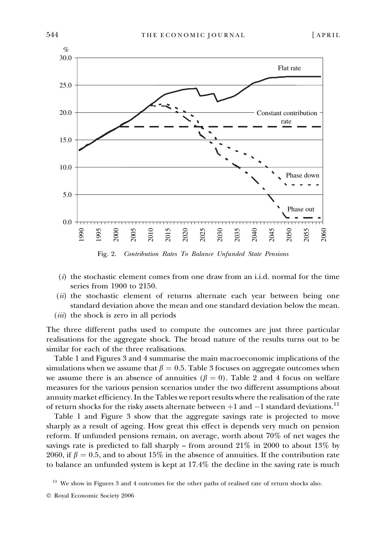

Fig. 2. Contribution Rates To Balance Unfunded State Pensions

- $(i)$  the stochastic element comes from one draw from an i.i.d. normal for the time series from 1900 to 2150.
- (ii) the stochastic element of returns alternate each year between being one standard deviation above the mean and one standard deviation below the mean.
- (*iii*) the shock is zero in all periods

The three different paths used to compute the outcomes are just three particular realisations for the aggregate shock. The broad nature of the results turns out to be similar for each of the three realisations.

Table 1 and Figures 3 and 4 summarise the main macroeconomic implications of the simulations when we assume that  $\beta = 0.5$ . Table 3 focuses on aggregate outcomes when we assume there is an absence of annuities ( $\beta = 0$ ). Table 2 and 4 focus on welfare measures for the various pension scenarios under the two different assumptions about annuity market efficiency. In the Tables we report results where the realisation of the rate of return shocks for the risky assets alternate between  $+1$  and  $-1$  standard deviations.<sup>11</sup>

Table 1 and Figure 3 show that the aggregate savings rate is projected to move sharply as a result of ageing. How great this effect is depends very much on pension reform. If unfunded pensions remain, on average, worth about 70% of net wages the savings rate is predicted to fall sharply – from around 21% in 2000 to about 13% by 2060, if  $\beta = 0.5$ , and to about 15% in the absence of annuities. If the contribution rate to balance an unfunded system is kept at 17.4% the decline in the saving rate is much

<sup>&</sup>lt;sup>11</sup> We show in Figures 3 and 4 outcomes for the other paths of realised rate of return shocks also.

Royal Economic Society 2006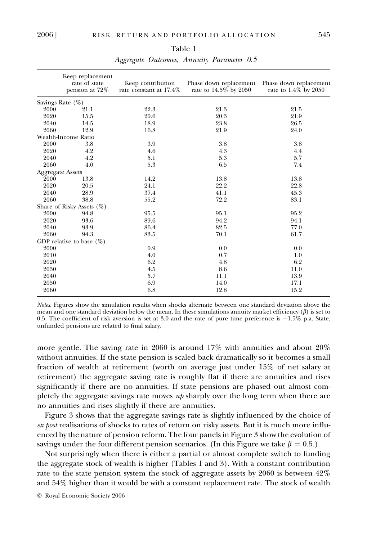|                         | Keep replacement<br>rate of state<br>pension at 72% | Keep contribution<br>rate constant at 17.4% | rate to 14.5% by 2050 | Phase down replacement Phase down replacement<br>rate to $1.4\%$ by 2050 |
|-------------------------|-----------------------------------------------------|---------------------------------------------|-----------------------|--------------------------------------------------------------------------|
|                         | Savings Rate $(\%)$                                 |                                             |                       |                                                                          |
| 2000                    | 21.1                                                | 22.3                                        | 21.3                  | 21.5                                                                     |
| 2020                    | 15.5                                                | 20.6                                        | 20.3                  | 21.9                                                                     |
| 2040                    | 14.5                                                | 18.9                                        | 23.8                  | 26.5                                                                     |
| 2060                    | 12.9                                                | 16.8                                        | 21.9                  | 24.0                                                                     |
|                         | Wealth-Income Ratio                                 |                                             |                       |                                                                          |
| 2000                    | 3.8                                                 | 3.9                                         | 3.8                   | 3.8                                                                      |
| 2020                    | 4.2                                                 | 4.6                                         | 4.3                   | 4.4                                                                      |
| 2040                    | 4.2                                                 | 5.1                                         | 5.3                   | 5.7                                                                      |
| 2060                    | 4.0                                                 | 5.3                                         | 6.5                   | 7.4                                                                      |
| <b>Aggregate Assets</b> |                                                     |                                             |                       |                                                                          |
| 2000                    | 13.8                                                | 14.2                                        | 13.8                  | 13.8                                                                     |
| 2020                    | 20.5                                                | 24.1                                        | 22.2                  | 22.8                                                                     |
| 2040                    | 28.9                                                | 37.4                                        | 41.1                  | 45.3                                                                     |
| 2060                    | 38.8                                                | 55.2                                        | 72.2                  | 83.1                                                                     |
|                         | Share of Risky Assets $(\%)$                        |                                             |                       |                                                                          |
| 2000                    | 94.8                                                | 95.5                                        | 95.1                  | 95.2                                                                     |
| 2020                    | 93.6                                                | 89.6                                        | 94.2                  | 94.1                                                                     |
| 2040                    | 93.9                                                | 86.4                                        | 82.5                  | 77.0                                                                     |
| 2060                    | 94.3                                                | 83.5                                        | 70.1                  | 61.7                                                                     |
|                         | GDP relative to base $(\%)$                         |                                             |                       |                                                                          |
| 2000                    |                                                     | 0.9                                         | 0.0                   | 0.0                                                                      |
| 2010                    |                                                     | 4.0                                         | 0.7                   | 1.0                                                                      |
| 2020                    |                                                     | 6.2                                         | 4.8                   | 6.2                                                                      |
| 2030                    |                                                     | 4.5                                         | 8.6                   | 11.0                                                                     |
| 2040                    |                                                     | 5.7                                         | 11.1                  | 13.9                                                                     |
| 2050                    |                                                     | 6.9                                         | 14.0                  | 17.1                                                                     |
| 2060                    |                                                     | 6.8                                         | 12.8                  | 15.2                                                                     |

Aggregate Outcomes, Annuity Parameter 0.5

Notes. Figures show the simulation results when shocks alternate between one standard deviation above the mean and one standard deviation below the mean. In these simulations annuity market efficiency  $(\beta)$  is set to 0.5. The coefficient of risk aversion is set at 3.0 and the rate of pure time preference is  $-1.5\%$  p.a. State, unfunded pensions are related to final salary.

more gentle. The saving rate in 2060 is around 17% with annuities and about 20% without annuities. If the state pension is scaled back dramatically so it becomes a small fraction of wealth at retirement (worth on average just under 15% of net salary at retirement) the aggregate saving rate is roughly flat if there are annuities and rises significantly if there are no annuities. If state pensions are phased out almost completely the aggregate savings rate moves  $up$  sharply over the long term when there are no annuities and rises slightly if there are annuities.

Figure 3 shows that the aggregate savings rate is slightly influenced by the choice of ex post realisations of shocks to rates of return on risky assets. But it is much more influenced by the nature of pension reform. The four panels in Figure 3 show the evolution of savings under the four different pension scenarios. (In this Figure we take  $\beta = 0.5$ .)

Not surprisingly when there is either a partial or almost complete switch to funding the aggregate stock of wealth is higher (Tables 1 and 3). With a constant contribution rate to the state pension system the stock of aggregate assets by 2060 is between 42% and 54% higher than it would be with a constant replacement rate. The stock of wealth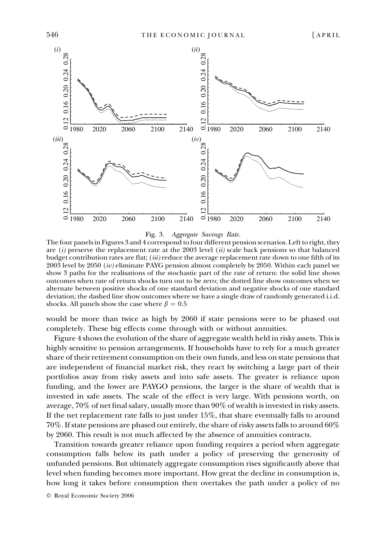

Fig. 3. Aggregate Savings Rate.

The four panels in Figures 3 and 4 correspond to four different pension scenarios. Left to right, they are  $(i)$  preserve the replacement rate at the 2003 level  $(ii)$  scale back pensions so that balanced budget contribution rates are flat; (iii) reduce the average replacement rate down to one fifth of its  $200\overline{3}$  level by  $2050$  (iv) eliminate PAYG pension almost completely by 2050. Within each panel we show 3 paths for the realisations of the stochastic part of the rate of return: the solid line shows outcomes when rate of return shocks turn out to be zero; the dotted line show outcomes when we alternate between positive shocks of one standard deviation and negative shocks of one standard deviation; the dashed line show outcomes where we have a single draw of randomly generated i.i.d. shocks. All panels show the case where  $\beta = 0.5$ 

would be more than twice as high by 2060 if state pensions were to be phased out completely. These big effects come through with or without annuities.

Figure 4 shows the evolution of the share of aggregate wealth held in risky assets. This is highly sensitive to pension arrangements. If households have to rely for a much greater share of their retirement consumption on their own funds, and less on state pensions that are independent of financial market risk, they react by switching a large part of their portfolios away from risky assets and into safe assets. The greater is reliance upon funding, and the lower are PAYGO pensions, the larger is the share of wealth that is invested in safe assets. The scale of the effect is very large. With pensions worth, on average, 70% of net final salary, usually more than 90% of wealth is invested in risky assets. If the net replacement rate falls to just under 15%, that share eventually falls to around 70%. If state pensions are phased out entirely, the share of risky assets falls to around 60% by 2060. This result is not much affected by the absence of annuities contracts.

Transition towards greater reliance upon funding requires a period when aggregate consumption falls below its path under a policy of preserving the generosity of unfunded pensions. But ultimately aggregate consumption rises significantly above that level when funding becomes more important. How great the decline in consumption is,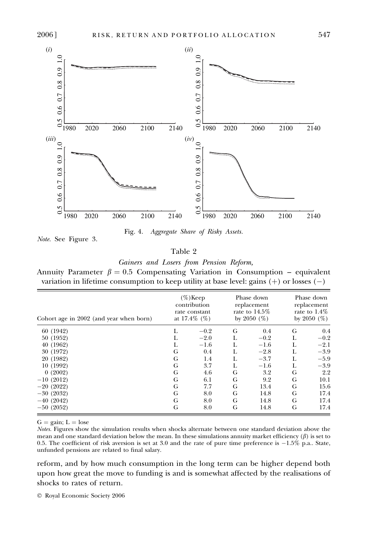

Fig. 4. Aggregate Share of Risky Assets.

1980 2020 2060 2100 2140 1980 2020 2060 2100 2140

Note. See Figure 3.

 $0.5$ 

### Table 2

Gainers and Losers from Pension Reform,

Annuity Parameter  $\beta = 0.5$  Compensating Variation in Consumption – equivalent variation in lifetime consumption to keep utility at base level: gains  $(+)$  or losses  $(-)$ 

| Cohort age in 2002 (and year when born) | $(\%)$ Keep<br>contribution<br>rate constant<br>at $17.4\%$ (%) |        | Phase down<br>replacement<br>rate to $14.5\%$<br>by 2050 $(\%)$ |        | Phase down<br>replacement<br>rate to $1.4\%$<br>by 2050 $(\%)$ |        |
|-----------------------------------------|-----------------------------------------------------------------|--------|-----------------------------------------------------------------|--------|----------------------------------------------------------------|--------|
| 60 (1942)                               | L                                                               | $-0.2$ | G                                                               | 0.4    | G                                                              | 0.4    |
| 50 (1952)                               | L                                                               | $-2.0$ | L                                                               | $-0.2$ | L                                                              | $-0.2$ |
| 40 (1962)                               | L                                                               | $-1.6$ | L                                                               | $-1.6$ | L                                                              | $-2.1$ |
| 30 (1972)                               | G                                                               | 0.4    | L                                                               | $-2.8$ | L                                                              | $-3.9$ |
| 20 (1982)                               | G                                                               | 1.4    | L                                                               | $-3.7$ | L                                                              | $-5.9$ |
| 10(1992)                                | G                                                               | 3.7    | L                                                               | $-1.6$ | L                                                              | $-3.9$ |
| 0(2002)                                 | G                                                               | 4.6    | G                                                               | 3.2    | G                                                              | 2.2    |
| $-10(2012)$                             | G                                                               | 6.1    | G                                                               | 9.2    | G                                                              | 10.1   |
| $-20(2022)$                             | G                                                               | 7.7    | G                                                               | 13.4   | G                                                              | 15.6   |
| $-30(2032)$                             | G                                                               | 8.0    | G                                                               | 14.8   | G                                                              | 17.4   |
| $-40(2042)$                             | G                                                               | 8.0    | G                                                               | 14.8   | G                                                              | 17.4   |
| $-50(2052)$                             | G                                                               | 8.0    | G                                                               | 14.8   | G                                                              | 17.4   |

 $G = gain$ ;  $L = lose$ 

Notes. Figures show the simulation results when shocks alternate between one standard deviation above the mean and one standard deviation below the mean. In these simulations annuity market efficiency  $(\beta)$  is set to 0.5. The coefficient of risk aversion is set at 3.0 and the rate of pure time preference is  $-1.5\%$  p.a.. State, unfunded pensions are related to final salary.

reform, and by how much consumption in the long term can be higher depend both upon how great the move to funding is and is somewhat affected by the realisations of shocks to rates of return.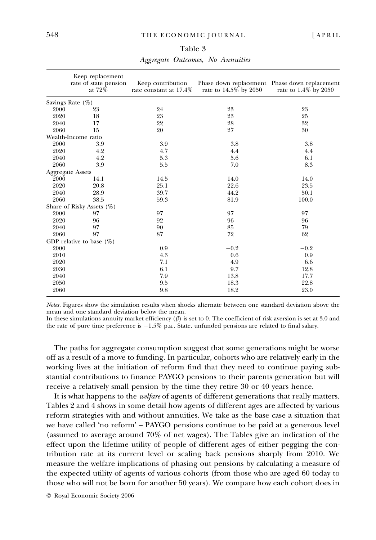|      | Keep replacement<br>rate of state pension<br>at $72\%$ | Keep contribution<br>rate constant at 17.4% | rate to 14.5% by 2050 | Phase down replacement Phase down replacement<br>rate to $1.4\%$ by 2050 |
|------|--------------------------------------------------------|---------------------------------------------|-----------------------|--------------------------------------------------------------------------|
|      | Savings Rate $(\%)$                                    |                                             |                       |                                                                          |
| 2000 | 23                                                     | 24                                          | 23                    | 23                                                                       |
| 2020 | 18                                                     | 23                                          | 23                    | 25                                                                       |
| 2040 | 17                                                     | 22                                          | 28                    | 32                                                                       |
| 2060 | 15                                                     | 20                                          | 27                    | 30                                                                       |
|      | Wealth-Income ratio                                    |                                             |                       |                                                                          |
| 2000 | 3.9                                                    | 3.9                                         | 3.8                   | 3.8                                                                      |
| 2020 | 4.2                                                    | 4.7                                         | 4.4                   | 4.4                                                                      |
| 2040 | 4.2                                                    | 5.3                                         | 5.6                   | 6.1                                                                      |
| 2060 | 3.9                                                    | 5.5                                         | 7.0                   | 8.3                                                                      |
|      | <b>Aggregate Assets</b>                                |                                             |                       |                                                                          |
| 2000 | 14.1                                                   | 14.5                                        | 14.0                  | 14.0                                                                     |
| 2020 | 20.8                                                   | 25.1                                        | 22.6                  | 23.5                                                                     |
| 2040 | 28.9                                                   | 39.7                                        | 44.2                  | 50.1                                                                     |
| 2060 | 38.5                                                   | 59.3                                        | 81.9                  | 100.0                                                                    |
|      | Share of Risky Assets $(\%)$                           |                                             |                       |                                                                          |
| 2000 | 97                                                     | 97                                          | 97                    | 97                                                                       |
| 2020 | 96                                                     | 92                                          | 96                    | 96                                                                       |
| 2040 | 97                                                     | 90                                          | 85                    | 79                                                                       |
| 2060 | 97                                                     | 87                                          | 72                    | 62                                                                       |
|      | GDP relative to base $(\%)$                            |                                             |                       |                                                                          |
| 2000 |                                                        | 0.9                                         | $-0.2$                | $-0.2$                                                                   |
| 2010 |                                                        | 4.3                                         | 0.6                   | 0.9                                                                      |
| 2020 |                                                        | 7.1                                         | 4.9                   | 6.6                                                                      |
| 2030 |                                                        | 6.1                                         | 9.7                   | 12.8                                                                     |
| 2040 |                                                        | 7.9                                         | 13.8                  | 17.7                                                                     |
| 2050 |                                                        | 9.5                                         | 18.3                  | 22.8                                                                     |
| 2060 |                                                        | 9.8                                         | 18.2                  | 23.0                                                                     |

Table 3 Aggregate Outcomes, No Annuities

Notes. Figures show the simulation results when shocks alternate between one standard deviation above the mean and one standard deviation below the mean.

In these simulations annuity market efficiency  $(\beta)$  is set to 0. The coefficient of risk aversion is set at 3.0 and the rate of pure time preference is  $-1.5\%$  p.a.. State, unfunded pensions are related to final salary.

The paths for aggregate consumption suggest that some generations might be worse off as a result of a move to funding. In particular, cohorts who are relatively early in the working lives at the initiation of reform find that they need to continue paying substantial contributions to finance PAYGO pensions to their parents generation but will receive a relatively small pension by the time they retire 30 or 40 years hence.

It is what happens to the *welfare* of agents of different generations that really matters. Tables 2 and 4 shows in some detail how agents of different ages are affected by various reform strategies with and without annuities. We take as the base case a situation that we have called 'no reform' - PAYGO pensions continue to be paid at a generous level (assumed to average around 70% of net wages). The Tables give an indication of the effect upon the lifetime utility of people of different ages of either pegging the contribution rate at its current level or scaling back pensions sharply from 2010. We measure the welfare implications of phasing out pensions by calculating a measure of the expected utility of agents of various cohorts (from those who are aged 60 today to those who will not be born for another 50 years). We compare how each cohort does in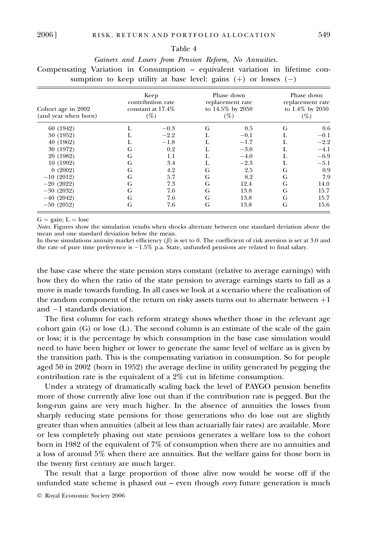#### Table 4

| Cohort age in 2002<br>(and year when born) |   | Keep<br>contribution rate<br>constant at $17.4\%$<br>$(\%)$ |   | Phase down<br>replacement rate<br>to 14.5% by 2050<br>$(\%)$ |   | Phase down<br>replacement rate<br>to $1.4\%$ by 2050<br>$(\%)$ |
|--------------------------------------------|---|-------------------------------------------------------------|---|--------------------------------------------------------------|---|----------------------------------------------------------------|
| 60 (1942)                                  |   | $-0.3$                                                      | G | 0.5                                                          | G | 0.6                                                            |
| 50 (1952)                                  |   | $-2.2$                                                      |   | $-0.1$                                                       |   | $-0.1$                                                         |
| 40 (1962)                                  |   | $-1.8$                                                      |   | $-1.7$                                                       |   | $-2.2$                                                         |
| 30 (1972)                                  | G | 0.2                                                         |   | $-3.0$                                                       |   | $-4.1$                                                         |
| 20 (1982)                                  | G | 1.1                                                         |   | $-4.0$                                                       | L | $-6.9$                                                         |
| 10(1992)                                   | G | 3.4                                                         | L | $-2.3$                                                       |   | $-5.1$                                                         |
| 0(2002)                                    | G | 4.2                                                         | G | 2.5                                                          | G | 0.9                                                            |
| $-10(2012)$                                | G | 5.7                                                         | G | 8.2                                                          | G | 7.9                                                            |
| $-20(2022)$                                | G | 7.3                                                         | G | 12.4                                                         | G | 14.0                                                           |
| $-30(2032)$                                | G | 7.6                                                         | G | 13.8                                                         | G | 15.7                                                           |
| $-40(2042)$                                | G | 7.6                                                         | G | 13.8                                                         | G | 15.7                                                           |
| $-50(2052)$                                | G | 7.6                                                         | G | 13.8                                                         | G | 15.6                                                           |

## Gainers and Losers from Pension Reform, No Annuities.

Compensating Variation in Consumption – equivalent variation in lifetime consumption to keep utility at base level: gains  $(+)$  or losses  $(-)$ 

 $G = gain; L = lose$ 

Notes. Figures show the simulation results when shocks alternate between one standard deviation above the mean and one standard deviation below the mean.

In these simulations annuity market efficiency  $(\beta)$  is set to 0. The coefficient of risk aversion is set at 3.0 and the rate of pure time preference is  $-1.5\%$  p.a. State, unfunded pensions are related to final salary.

the base case where the state pension stays constant (relative to average earnings) with how they do when the ratio of the state pension to average earnings starts to fall as a move is made towards funding. In all cases we look at a scenario where the realisation of the random component of the return on risky assets turns out to alternate between  $+1$ and  $-1$  standards deviation.

The first column for each reform strategy shows whether those in the relevant age cohort gain  $(G)$  or lose  $(L)$ . The second column is an estimate of the scale of the gain or loss; it is the percentage by which consumption in the base case simulation would need to have been higher or lower to generate the same level of welfare as is given by the transition path. This is the compensating variation in consumption. So for people aged 50 in 2002 (born in 1952) the average decline in utility generated by pegging the contribution rate is the equivalent of a 2% cut in lifetime consumption.

Under a strategy of dramatically scaling back the level of PAYGO pension benefits more of those currently alive lose out than if the contribution rate is pegged. But the long-run gains are very much higher. In the absence of annuities the losses from sharply reducing state pensions for those generations who do lose out are slightly greater than when annuities (albeit at less than actuarially fair rates) are available. More or less completely phasing out state pensions generates a welfare loss to the cohort born in 1982 of the equivalent of 7% of consumption when there are no annuities and a loss of around 5% when there are annuities. But the welfare gains for those born in the twenty first century are much larger.

The result that a large proportion of those alive now would be worse off if the unfunded state scheme is phased out – even though *every* future generation is much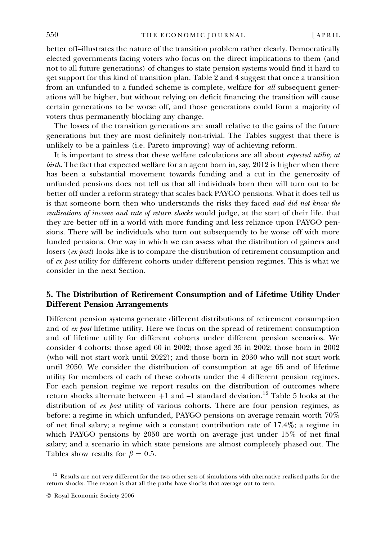better off–illustrates the nature of the transition problem rather clearly. Democratically elected governments facing voters who focus on the direct implications to them (and not to all future generations) of changes to state pension systems would find it hard to get support for this kind of transition plan. Table 2 and 4 suggest that once a transition from an unfunded to a funded scheme is complete, welfare for all subsequent generations will be higher, but without relying on deficit financing the transition will cause certain generations to be worse off, and those generations could form a majority of voters thus permanently blocking any change.

The losses of the transition generations are small relative to the gains of the future generations but they are most definitely non-trivial. The Tables suggest that there is unlikely to be a painless (i.e. Pareto improving) way of achieving reform.

It is important to stress that these welfare calculations are all about expected utility at birth. The fact that expected welfare for an agent born in, say, 2012 is higher when there has been a substantial movement towards funding and a cut in the generosity of unfunded pensions does not tell us that all individuals born then will turn out to be better off under a reform strategy that scales back PAYGO pensions. What it does tell us is that someone born then who understands the risks they faced and did not know the realisations of income and rate of return shocks would judge, at the start of their life, that they are better off in a world with more funding and less reliance upon PAYGO pensions. There will be individuals who turn out subsequently to be worse off with more funded pensions. One way in which we can assess what the distribution of gainers and losers (ex post) looks like is to compare the distribution of retirement consumption and of ex post utility for different cohorts under different pension regimes. This is what we consider in the next Section.

# 5. The Distribution of Retirement Consumption and of Lifetime Utility Under Different Pension Arrangements

Different pension systems generate different distributions of retirement consumption and of  $ex$  *post* lifetime utility. Here we focus on the spread of retirement consumption and of lifetime utility for different cohorts under different pension scenarios. We consider 4 cohorts: those aged 60 in 2002; those aged 35 in 2002; those born in 2002 (who will not start work until 2022); and those born in 2030 who will not start work until 2050. We consider the distribution of consumption at age 65 and of lifetime utility for members of each of these cohorts under the 4 different pension regimes. For each pension regime we report results on the distribution of outcomes where return shocks alternate between  $+1$  and  $-1$  standard deviation.<sup>12</sup> Table 5 looks at the distribution of  $ex$  post utility of various cohorts. There are four pension regimes, as before: a regime in which unfunded, PAYGO pensions on average remain worth 70% of net final salary; a regime with a constant contribution rate of 17.4%; a regime in which PAYGO pensions by 2050 are worth on average just under 15% of net final salary; and a scenario in which state pensions are almost completely phased out. The Tables show results for  $\beta = 0.5$ .

 $12$  Results are not very different for the two other sets of simulations with alternative realised paths for the return shocks. The reason is that all the paths have shocks that average out to zero.

Royal Economic Society 2006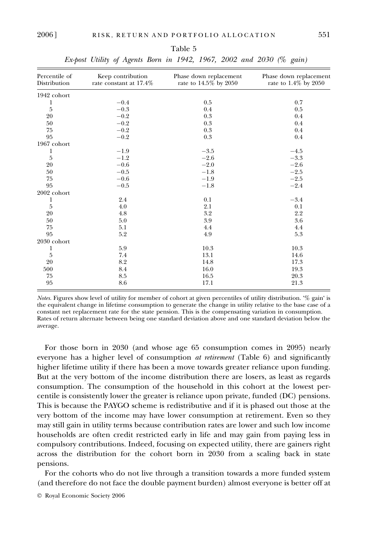| Percentile of<br>Distribution | Keep contribution<br>rate constant at 17.4% | Phase down replacement<br>rate to 14.5% by 2050 | Phase down replacement<br>rate to $1.4\%$ by 2050 |
|-------------------------------|---------------------------------------------|-------------------------------------------------|---------------------------------------------------|
| 1942 cohort                   |                                             |                                                 |                                                   |
| 1                             | $-0.4$                                      | 0.5                                             | 0.7                                               |
| $\overline{5}$                | $-0.3$                                      | 0.4                                             | 0.5                                               |
| 20                            | $-0.2$                                      | 0.3                                             | 0.4                                               |
| 50                            | $-0.2$                                      | 0.3                                             | 0.4                                               |
| 75                            | $-0.2$                                      | 0.3                                             | 0.4                                               |
| 95                            | $-0.2$                                      | 0.3                                             | 0.4                                               |
| $1967$ cohort                 |                                             |                                                 |                                                   |
| 1                             | $-1.9$                                      | $-3.5$                                          | $-4.5$                                            |
| $\overline{5}$                | $-1.2$                                      | $-2.6$                                          | $-3.3$                                            |
| 20                            | $-0.6$                                      | $-2.0$                                          | $-2.6$                                            |
| 50                            | $\!-0.5$                                    | $-1.8$                                          | $-2.5$                                            |
| 75                            | $-0.6$                                      | $-1.9$                                          | $-2.5$                                            |
| 95                            | $\!-0.5$                                    | $-1.8$                                          | $-2.4$                                            |
| 2002 cohort                   |                                             |                                                 |                                                   |
| 1                             | 2.4                                         | 0.1                                             | $-3.4$                                            |
| $\overline{5}$                | 4.0                                         | 2.1                                             | 0.1                                               |
| 20                            | 4.8                                         | 3.2                                             | 2.2                                               |
| 50                            | 5.0                                         | 3.9                                             | 3.6                                               |
| 75                            | 5.1                                         | 4.4                                             | 4.4                                               |
| 95                            | 5.2                                         | 4.9                                             | 5.3                                               |
| 2030 cohort                   |                                             |                                                 |                                                   |
| 1                             | 5.9                                         | 10.3                                            | 10.3                                              |
| $\overline{5}$                | 7.4                                         | 13.1                                            | 14.6                                              |
| 20                            | $\!\!\!\!\!8.2$                             | 14.8                                            | 17.3                                              |
| 500                           | 8.4                                         | 16.0                                            | 19.3                                              |
| 75                            | 8.5                                         | 16.5                                            | 20.3                                              |
| 95                            | 8.6                                         | 17.1                                            | 21.3                                              |

Table 5 Ex-post Utility of Agents Born in 1942, 1967, 2002 and 2030 (% gain)

Notes. Figures show level of utility for member of cohort at given percentiles of utility distribution. '% gain' is the equivalent change in lifetime consumption to generate the change in utility relative to the base case of a constant net replacement rate for the state pension. This is the compensating variation in consumption. Rates of return alternate between being one standard deviation above and one standard deviation below the average.

For those born in 2030 (and whose age 65 consumption comes in 2095) nearly everyone has a higher level of consumption at retirement (Table 6) and significantly higher lifetime utility if there has been a move towards greater reliance upon funding. But at the very bottom of the income distribution there are losers, as least as regards consumption. The consumption of the household in this cohort at the lowest percentile is consistently lower the greater is reliance upon private, funded (DC) pensions. This is because the PAYGO scheme is redistributive and if it is phased out those at the very bottom of the income may have lower consumption at retirement. Even so they may still gain in utility terms because contribution rates are lower and such low income households are often credit restricted early in life and may gain from paying less in compulsory contributions. Indeed, focusing on expected utility, there are gainers right across the distribution for the cohort born in 2030 from a scaling back in state pensions.

For the cohorts who do not live through a transition towards a more funded system (and therefore do not face the double payment burden) almost everyone is better off at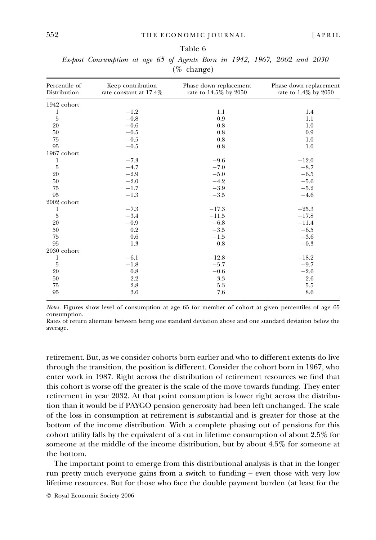| $\sqrt{v}$ change             |                                             |                                                 |                                                   |  |  |
|-------------------------------|---------------------------------------------|-------------------------------------------------|---------------------------------------------------|--|--|
| Percentile of<br>Distribution | Keep contribution<br>rate constant at 17.4% | Phase down replacement<br>rate to 14.5% by 2050 | Phase down replacement<br>rate to $1.4\%$ by 2050 |  |  |
| 1942 cohort                   |                                             |                                                 |                                                   |  |  |
| 1                             | $-1.2$                                      | 1.1                                             | 1.4                                               |  |  |
| $\overline{5}$                | $-0.8$                                      | 0.9                                             | 1.1                                               |  |  |
| 20                            | $-0.6$                                      | 0.8                                             | 1.0                                               |  |  |
| 50                            | $\!-0.5$                                    | 0.8                                             | 0.9                                               |  |  |
| 75                            | $-0.5$                                      | 0.8                                             | 1.0                                               |  |  |
| 95                            | $-0.5$                                      | 0.8                                             | 1.0                                               |  |  |
| 1967 cohort                   |                                             |                                                 |                                                   |  |  |
| 1                             | $-7.3$                                      | $-9.6$                                          | $-12.0$                                           |  |  |
| 5                             | $-4.7$                                      | $-7.0$                                          | $-8.7$                                            |  |  |
| 20                            | $-2.9$                                      | $-5.0$                                          | $-6.5$                                            |  |  |
| 50                            | $-2.0$                                      | $-4.2$                                          | $-5.6$                                            |  |  |
| 75                            | $-1.7$                                      | $-3.9$                                          | $-5.2$                                            |  |  |
| 95                            | $-1.3$                                      | $-3.5$                                          | $-4.6$                                            |  |  |
| 2002 cohort                   |                                             |                                                 |                                                   |  |  |
| 1                             | $-7.3$                                      | $-17.3$                                         | $-25.3$                                           |  |  |
| 5                             | $-3.4$                                      | $-11.5$                                         | $-17.8$                                           |  |  |
| 20                            | $-0.9$                                      | $-6.8$                                          | $-11.4$                                           |  |  |
| 50                            | 0.2                                         | $-3.5$                                          | $-6.5$                                            |  |  |
| 75                            | 0.6                                         | $-1.5$                                          | $-3.6$                                            |  |  |
| 95                            | 1.3                                         | 0.8                                             | $-0.3$                                            |  |  |
| 2030 cohort                   |                                             |                                                 |                                                   |  |  |
| 1                             | $-6.1$                                      | $-12.8$                                         | $-18.2$                                           |  |  |
| $\overline{5}$                | $-1.8$                                      | $-5.7$                                          | $-9.7$                                            |  |  |
| 20                            | 0.8                                         | $-0.6$                                          | $-2.6$                                            |  |  |
| 50                            | 2.2                                         | 3.3                                             | $2.6\,$                                           |  |  |
| 75                            | 2.8                                         | 5.3                                             | $5.5\,$                                           |  |  |
| 95                            | 3.6                                         | 7.6                                             | 8.6                                               |  |  |

Ex-post Consumption at age 65 of Agents Born in 1942, 1967, 2002 and 2030  $(\%$  change)

Notes. Figures show level of consumption at age 65 for member of cohort at given percentiles of age 65 consumption.

Rates of return alternate between being one standard deviation above and one standard deviation below the average.

retirement. But, as we consider cohorts born earlier and who to different extents do live through the transition, the position is different. Consider the cohort born in 1967, who enter work in 1987. Right across the distribution of retirement resources we find that this cohort is worse off the greater is the scale of the move towards funding. They enter retirement in year 2032. At that point consumption is lower right across the distribution than it would be if PAYGO pension generosity had been left unchanged. The scale of the loss in consumption at retirement is substantial and is greater for those at the bottom of the income distribution. With a complete phasing out of pensions for this cohort utility falls by the equivalent of a cut in lifetime consumption of about 2.5% for someone at the middle of the income distribution, but by about 4.5% for someone at the bottom.

The important point to emerge from this distributional analysis is that in the longer run pretty much everyone gains from a switch to funding – even those with very low lifetime resources. But for those who face the double payment burden (at least for the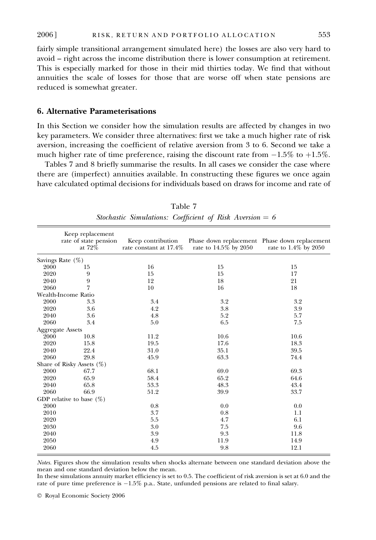fairly simple transitional arrangement simulated here) the losses are also very hard to avoid – right across the income distribution there is lower consumption at retirement. This is especially marked for those in their mid thirties today. We find that without annuities the scale of losses for those that are worse off when state pensions are reduced is somewhat greater.

### 6. Alternative Parameterisations

In this Section we consider how the simulation results are affected by changes in two key parameters. We consider three alternatives: first we take a much higher rate of risk aversion, increasing the coefficient of relative aversion from 3 to 6. Second we take a much higher rate of time preference, raising the discount rate from  $-1.5\%$  to  $+1.5\%$ .

Tables 7 and 8 briefly summarise the results. In all cases we consider the case where there are (imperfect) annuities available. In constructing these figures we once again have calculated optimal decisions for individuals based on draws for income and rate of

|      | Keep replacement<br>rate of state pension<br>at $72\%$ | Keep contribution<br>rate constant at 17.4% | Phase down replacement Phase down replacement<br>rate to 14.5% by 2050 | rate to 1.4% by 2050 |
|------|--------------------------------------------------------|---------------------------------------------|------------------------------------------------------------------------|----------------------|
|      | Savings Rate $(\%)$                                    |                                             |                                                                        |                      |
| 2000 | 15                                                     | 16                                          | 15                                                                     | 15                   |
| 2020 | 9                                                      | 15                                          | 15                                                                     | 17                   |
| 2040 | 9                                                      | 12                                          | 18                                                                     | 21                   |
| 2060 | 7                                                      | 10                                          | 16                                                                     | 18                   |
|      | Wealth-Income Ratio                                    |                                             |                                                                        |                      |
| 2000 | 3.3                                                    | 3.4                                         | 3.2                                                                    | 3.2                  |
| 2020 | 3.6                                                    | 4.2                                         | 3.8                                                                    | 3.9                  |
| 2040 | 3.6                                                    | 4.8                                         | 5.2                                                                    | 5.7                  |
| 2060 | 3.4                                                    | 5.0                                         | 6.5                                                                    | 7.5                  |
|      | <b>Aggregate Assets</b>                                |                                             |                                                                        |                      |
| 2000 | 10.8                                                   | 11.2                                        | 10.6                                                                   | 10.6                 |
| 2020 | 15.8                                                   | 19.5                                        | 17.6                                                                   | 18.3                 |
| 2040 | 22.4                                                   | 31.0                                        | 35.1                                                                   | 39.5                 |
| 2060 | 29.8                                                   | 45.9                                        | 63.3                                                                   | 74.4                 |
|      | Share of Risky Assets (%)                              |                                             |                                                                        |                      |
| 2000 | 67.7                                                   | 68.1                                        | 69.0                                                                   | 69.3                 |
| 2020 | 65.9                                                   | 58.4                                        | 65.2                                                                   | 64.6                 |
| 2040 | 65.8                                                   | 53.3                                        | 48.3                                                                   | 43.4                 |
| 2060 | 66.9                                                   | 51.2                                        | 39.9                                                                   | 33.7                 |
|      | GDP relative to base $(\%)$                            |                                             |                                                                        |                      |
| 2000 |                                                        | 0.8                                         | 0.0                                                                    | 0.0                  |
| 2010 |                                                        | 3.7                                         | 0.8                                                                    | 1.1                  |
| 2020 |                                                        | 5.5                                         | 4.7                                                                    | 6.1                  |
| 2030 |                                                        | 3.0                                         | 7.5                                                                    | 9.6                  |
| 2040 |                                                        | 3.9                                         | 9.3                                                                    | 11.8                 |
| 2050 |                                                        | 4.9                                         | 11.9                                                                   | 14.9                 |
| 2060 |                                                        | 4.5                                         | 9.8                                                                    | 12.1                 |

Table 7 Stochastic Simulations: Coefficient of Risk Aversion  $= 6$ 

Notes. Figures show the simulation results when shocks alternate between one standard deviation above the mean and one standard deviation below the mean.

In these simulations annuity market efficiency is set to 0.5. The coefficient of risk aversion is set at 6.0 and the rate of pure time preference is  $-1.5\%$  p.a.. State, unfunded pensions are related to final salary.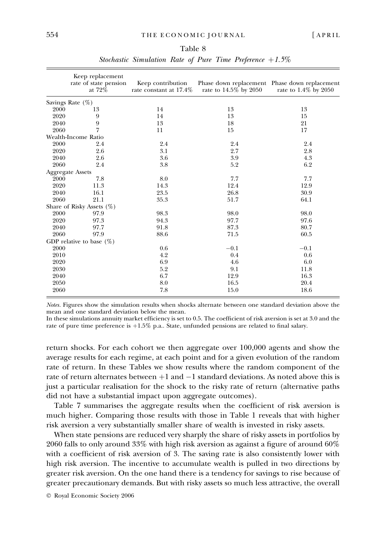|      | Keep replacement<br>rate of state pension<br>at $72\%$ | Keep contribution<br>rate constant at 17.4% | rate to 14.5% by 2050 | Phase down replacement Phase down replacement<br>rate to $1.4\%$ by 2050 |
|------|--------------------------------------------------------|---------------------------------------------|-----------------------|--------------------------------------------------------------------------|
|      | Savings Rate $(\%)$                                    |                                             |                       |                                                                          |
| 2000 | 13                                                     | 14                                          | 13                    | 13                                                                       |
| 2020 | 9                                                      | 14                                          | 13                    | 15                                                                       |
| 2040 | 9                                                      | 13                                          | 18                    | 21                                                                       |
| 2060 | 7                                                      | 11                                          | 15                    | 17                                                                       |
|      | Wealth-Income Ratio                                    |                                             |                       |                                                                          |
| 2000 | 2.4                                                    | 2.4                                         | 2.4                   | 2.4                                                                      |
| 2020 | 2.6                                                    | 3.1                                         | 2.7                   | 2.8                                                                      |
| 2040 | 2.6                                                    | 3.6                                         | 3.9                   | 4.3                                                                      |
| 2060 | 2.4                                                    | 3.8                                         | 5.2                   | 6.2                                                                      |
|      | <b>Aggregate Assets</b>                                |                                             |                       |                                                                          |
| 2000 | 7.8                                                    | 8.0                                         | 7.7                   | 7.7                                                                      |
| 2020 | 11.3                                                   | 14.3                                        | 12.4                  | 12.9                                                                     |
| 2040 | 16.1                                                   | 23.5                                        | 26.8                  | 30.9                                                                     |
| 2060 | 21.1                                                   | 35.3                                        | 51.7                  | 64.1                                                                     |
|      | Share of Risky Assets $(\%)$                           |                                             |                       |                                                                          |
| 2000 | 97.9                                                   | 98.3                                        | 98.0                  | 98.0                                                                     |
| 2020 | 97.3                                                   | 94.3                                        | 97.7                  | 97.6                                                                     |
| 2040 | 97.7                                                   | 91.8                                        | 87.3                  | 80.7                                                                     |
| 2060 | 97.9                                                   | 88.6                                        | 71.5                  | 60.5                                                                     |
|      | GDP relative to base $(\%)$                            |                                             |                       |                                                                          |
| 2000 |                                                        | 0.6                                         | $-0.1$                | $-0.1$                                                                   |
| 2010 |                                                        | 4.2                                         | 0.4                   | 0.6                                                                      |
| 2020 |                                                        | 6.9                                         | 4.6                   | 6.0                                                                      |
| 2030 |                                                        | 5.2                                         | 9.1                   | 11.8                                                                     |
| 2040 |                                                        | 6.7                                         | 12.9                  | 16.3                                                                     |
| 2050 |                                                        | 8.0                                         | 16.5                  | 20.4                                                                     |
| 2060 |                                                        | 7.8                                         | 15.0                  | 18.6                                                                     |

Table 8 Stochastic Simulation Rate of Pure Time Preference  $+1.5\%$ 

Notes. Figures show the simulation results when shocks alternate between one standard deviation above the mean and one standard deviation below the mean.

In these simulations annuity market efficiency is set to 0.5. The coefficient of risk aversion is set at 3.0 and the rate of pure time preference is  $+1.5\%$  p.a.. State, unfunded pensions are related to final salary.

return shocks. For each cohort we then aggregate over 100,000 agents and show the average results for each regime, at each point and for a given evolution of the random rate of return. In these Tables we show results where the random component of the rate of return alternates between  $+1$  and  $-1$  standard deviations. As noted above this is just a particular realisation for the shock to the risky rate of return (alternative paths did not have a substantial impact upon aggregate outcomes).

Table 7 summarises the aggregate results when the coefficient of risk aversion is much higher. Comparing those results with those in Table 1 reveals that with higher risk aversion a very substantially smaller share of wealth is invested in risky assets.

When state pensions are reduced very sharply the share of risky assets in portfolios by 2060 falls to only around 33% with high risk aversion as against a figure of around 60% with a coefficient of risk aversion of 3. The saving rate is also consistently lower with high risk aversion. The incentive to accumulate wealth is pulled in two directions by greater risk aversion. On the one hand there is a tendency for savings to rise because of greater precautionary demands. But with risky assets so much less attractive, the overall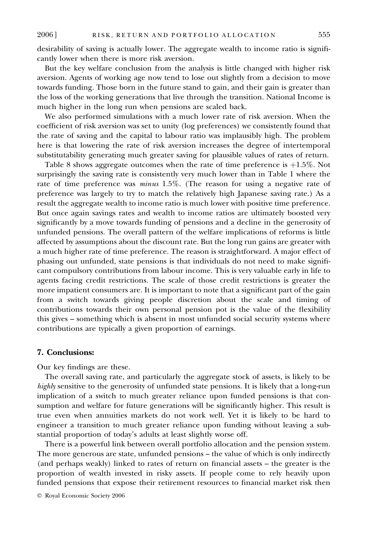desirability of saving is actually lower. The aggregate wealth to income ratio is significantly lower when there is more risk aversion.

But the key welfare conclusion from the analysis is little changed with higher risk aversion. Agents of working age now tend to lose out slightly from a decision to move towards funding. Those born in the future stand to gain, and their gain is greater than the loss of the working generations that live through the transition. National Income is much higher in the long run when pensions are scaled back.

We also performed simulations with a much lower rate of risk aversion. When the coefficient of risk aversion was set to unity (log preferences) we consistently found that the rate of saving and the capital to labour ratio was implausibly high. The problem here is that lowering the rate of risk aversion increases the degree of intertemporal substitutability generating much greater saving for plausible values of rates of return.

Table 8 shows aggregate outcomes when the rate of time preference is  $+1.5\%$ . Not surprisingly the saving rate is consistently very much lower than in Table 1 where the rate of time preference was minus 1.5%. (The reason for using a negative rate of preference was largely to try to match the relatively high Japanese saving rate.) As a result the aggregate wealth to income ratio is much lower with positive time preference. But once again savings rates and wealth to income ratios are ultimately boosted very significantly by a move towards funding of pensions and a decline in the generosity of unfunded pensions. The overall pattern of the welfare implications of reforms is little affected by assumptions about the discount rate. But the long run gains are greater with a much higher rate of time preference. The reason is straightforward. A major effect of phasing out unfunded, state pensions is that individuals do not need to make significant compulsory contributions from labour income. This is very valuable early in life to agents facing credit restrictions. The scale of those credit restrictions is greater the more impatient consumers are. It is important to note that a significant part of the gain from a switch towards giving people discretion about the scale and timing of contributions towards their own personal pension pot is the value of the flexibility this gives – something which is absent in most unfunded social security systems where contributions are typically a given proportion of earnings.

# 7. Conclusions:

Our key findings are these.

The overall saving rate, and particularly the aggregate stock of assets, is likely to be highly sensitive to the generosity of unfunded state pensions. It is likely that a long-run implication of a switch to much greater reliance upon funded pensions is that consumption and welfare for future generations will be significantly higher. This result is true even when annuities markets do not work well. Yet it is likely to be hard to engineer a transition to much greater reliance upon funding without leaving a substantial proportion of today's adults at least slightly worse off.

There is a powerful link between overall portfolio allocation and the pension system. The more generous are state, unfunded pensions – the value of which is only indirectly (and perhaps weakly) linked to rates of return on financial assets – the greater is the proportion of wealth invested in risky assets. If people come to rely heavily upon funded pensions that expose their retirement resources to financial market risk then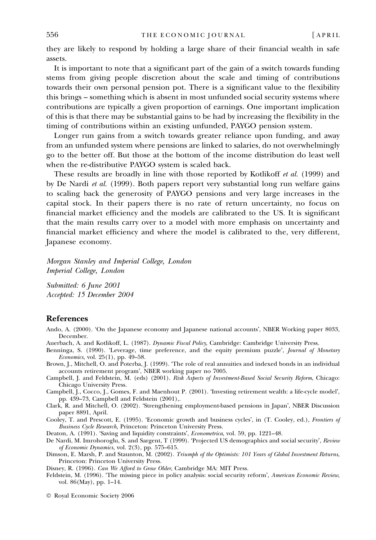they are likely to respond by holding a large share of their financial wealth in safe assets.

It is important to note that a significant part of the gain of a switch towards funding stems from giving people discretion about the scale and timing of contributions towards their own personal pension pot. There is a significant value to the flexibility this brings – something which is absent in most unfunded social security systems where contributions are typically a given proportion of earnings. One important implication of this is that there may be substantial gains to be had by increasing the flexibility in the timing of contributions within an existing unfunded, PAYGO pension system.

Longer run gains from a switch towards greater reliance upon funding, and away from an unfunded system where pensions are linked to salaries, do not overwhelmingly go to the better off. But those at the bottom of the income distribution do least well when the re-distributive PAYGO system is scaled back.

These results are broadly in line with those reported by Kotlikoff et al. (1999) and by De Nardi et al. (1999). Both papers report very substantial long run welfare gains to scaling back the generosity of PAYGO pensions and very large increases in the capital stock. In their papers there is no rate of return uncertainty, no focus on financial market efficiency and the models are calibrated to the US. It is significant that the main results carry over to a model with more emphasis on uncertainty and financial market efficiency and where the model is calibrated to the, very different, Japanese economy.

Morgan Stanley and Imperial College, London Imperial College, London

Submitted: 6 June 2001 Accepted: 15 December 2004

#### References

Ando, A. (2000). 'On the Japanese economy and Japanese national accounts', NBER Working paper 8033, December.

Auerbach, A. and Kotlikoff, L. (1987). Dynamic Fiscal Policy, Cambridge: Cambridge University Press.

- Benninga, S. (1990). 'Leverage, time preference, and the equity premium puzzle', Journal of Monetary Economics, vol. 25(1), pp. 49–58.
- Brown, J., Mitchell, O. and Poterba, J. (1999). 'The role of real annuities and indexed bonds in an individual accounts retirement program, NBER working paper no 7005.
- Campbell, J. and Feldstein, M. (eds) (2001). Risk Aspects of Investment-Based Social Security Reform, Chicago: Chicago University Press.
- Campbell, J., Cocco, J., Gomes, F. and Maenhout P. (2001). 'Investing retirement wealth: a life-cycle model', pp. 439–73, Campbell and Feldstein (2001),.
- Clark, R. and Mitchell, O. (2002). 'Strengthening employment-based pensions in Japan', NBER Discussion paper 8891, April.
- Cooley, T. and Prescott, E. (1995). 'Economic growth and business cycles', in (T. Cooley, ed.), Frontiers of Business Cycle Research, Princeton: Princeton University Press.

Deaton, A. (1991). 'Saving and liquidity constraints', Econometrica, vol. 59, pp. 1221-48.

- De Nardi, M. Imrohoroglu, S. and Sargent, T (1999). 'Projected US demographics and social security', Review of Economic Dynamics, vol. 2(3), pp. 575–615.
- Dimson, E. Marsh, P. and Staunton, M. (2002). Triumph of the Optimists: 101 Years of Global Investment Returns, Princeton: Princeton University Press.
- Disney, R. (1996). Can We Afford to Grow Older, Cambridge MA: MIT Press.
- Feldstein, M. (1996). 'The missing piece in policy analysis: social security reform', American Economic Review, vol. 86(May), pp. 1–14.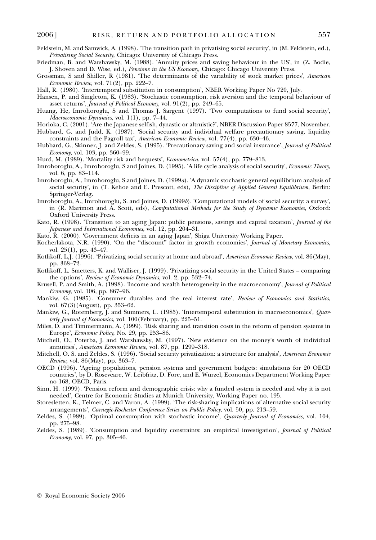- Feldstein, M. and Samwick, A. (1998). 'The transition path in privatising social security', in (M. Feldstein, ed.), Privatising Social Security, Chicago: University of Chicago Press.
- Friedman, B. and Warshawsky, M. (1988). 'Annuity prices and saving behaviour in the US', in (Z. Bodie, J. Shoven and D. Wise, ed.), Pensions in the US Economy, Chicago: Chicago University Press.
- Grossman, S and Shiller, R (1981). 'The determinants of the variability of stock market prices', American Economic Review, vol. 71(2), pp. 222–7.

Hall, R. (1980). 'Intertemporal substitution in consumption', NBER Working Paper No 720, July.

- Hansen, P. and Singleton, K. (1983). 'Stochastic consumption, risk aversion and the temporal behaviour of asset returns', Journal of Political Economy, vol. 91(2), pp. 249-65.
- Huang, He, Imrohoroglu, S and Thomas J. Sargent (1997). 'Two computations to fund social security', Macroeconomic Dynamics, vol. 1(1), pp. 7–44.
- Horioka, C. (2001). -Are the Japanese selfish, dynastic or altruistic?, NBER Discussion Paper 8577, November.
- Hubbard, G. and Judd, K. (1987). 'Social security and individual welfare precautionary saving, liquidity constraints and the Pagroll tax', American Economic Review, vol. 77(4), pp. 630-46.
- Hubbard, G., Skinner, J. and Zeldes, S. (1995). 'Precautionary saving and social insurance', *Journal of Political* Economy, vol. 103, pp. 360–99.
- Hurd, M. (1989). 'Mortality risk and bequests', Econometrica, vol. 57(4), pp. 779-813.
- Imrohoroglu, A., Imrohoroglu, S and Joines, D. (1995). 'A life cycle analysis of social security', Economic Theory, vol. 6, pp. 83–114.
- Imrohoroglu, A., Imrohoroglu, S.and Joines, D. (1999a). -A dynamic stochastic general equilibrium analysis of social security', in (T. Kehoe and E. Prescott, eds), The Discipline of Applied General Equilibrium, Berlin: Springer-Verlag.
- Imrohoroglu, A., Imrohoroglu, S. and Joines, D. (1999b). 'Computational models of social security: a survey', in (R. Marimon and A. Scott, eds), Computational Methods for the Study of Dynamic Economies, Oxford: Oxford University Press.
- Kato, R. (1998). 'Transition to an aging Japan: public pensions, savings and capital taxation', *Journal of the* Japanese and International Economies, vol. 12, pp. 204–31.
- Kato, R. (2000). 'Government deficits in an aging Japan', Shiga University Working Paper.
- Kocherlakota, N.R. (1990). 'On the "discount" factor in growth economies', Journal of Monetary Economics, vol. 25(1), pp. 43–47.
- Kotlikoff, L.J. (1996). 'Privatizing social security at home and abroad', American Economic Review, vol. 86(May), pp. 368–72.
- Kotlikoff, L. Smetters, K. and Walliser, J. (1999). 'Privatizing social security in the United States comparing the options', Review of Economic Dynamics, vol. 2, pp. 532-74.
- Krusell, P. and Smith, A. (1998). 'Income and wealth heterogeneity in the macroeconomy', Journal of Political Economy, vol. 106, pp. 867–96.
- Mankiw, G. (1985). 'Consumer durables and the real interest rate', Review of Economics and Statistics, vol. 67(3)(August), pp. 353–62.
- Mankiw, G., Rotemberg, J. and Summers, L. (1985). 'Intertemporal substitution in macroeconomics', Quarterly Journal of Economics, vol. 100 (February), pp. 225-51.
- Miles, D. and Timmermann, A. (1999). 'Risk sharing and transition costs in the reform of pension systems in Europe', Economic Policy, No. 29, pp. 253-86.
- Mitchell, O., Poterba, J. and Warshawsky, M. (1997). 'New evidence on the money's worth of individual annuities', American Economic Review, vol. 87, pp. 1299–318.
- Mitchell, O. S. and Zeldes, S. (1996). 'Social security privatization: a structure for analysis', American Economic Review, vol. 86(May), pp. 363–7.
- OECD (1996). 'Ageing populations, pension systems and government budgets: simulations for 20 OECD countries, by D. Roseveare, W. Leibfritz, D. Fore, and E. Wurzel, Economics Department Working Paper no 168, OECD, Paris.
- Sinn, H. (1999). 'Pension reform and demographic crisis: why a funded system is needed and why it is not needed, Centre for Economic Studies at Munich University, Working Paper no. 195.
- Storesletten, K., Telmer, C. and Yaron, A. (1999). 'The risk-sharing implications of alternative social security arrangements, Carnegie-Rochester Conference Series on Public Policy, vol. 50, pp. 213–59.
- Zeldes, S. (1989). 'Optimal consumption with stochastic income', Quarterly Journal of Economics, vol. 104, pp. 275–98.
- Zeldes, S. (1989). 'Consumption and liquidity constraints: an empirical investigation', Journal of Political Economy, vol. 97, pp. 305–46.